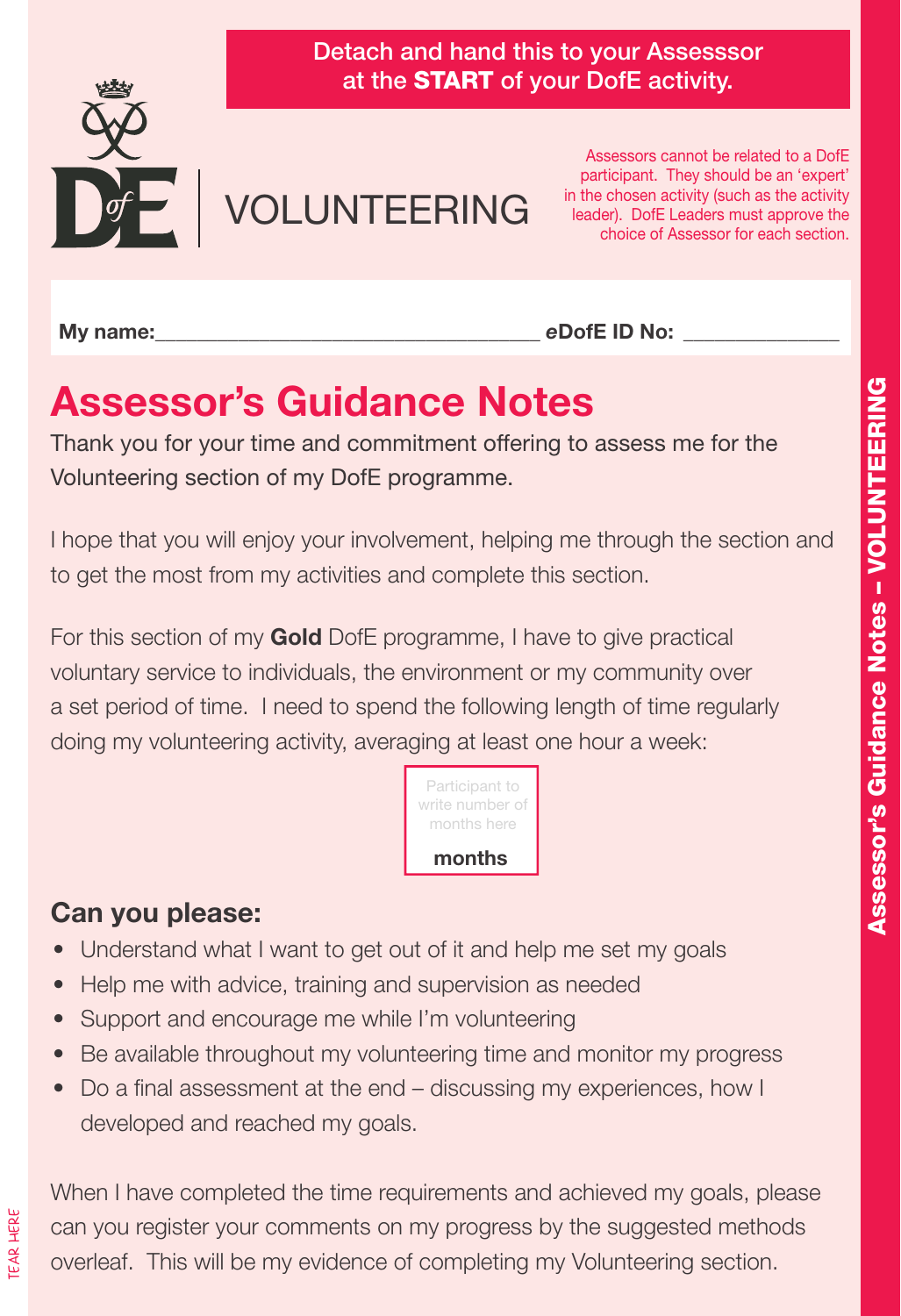

Detach and hand this to your Assesssor at the START of your DofE activity.

# VOLUNTEERING

Assessors cannot be related to a DofE participant. They should be an 'expert' in the chosen activity (such as the activity leader). DofE Leaders must approve the choice of Assessor for each section.

**M**<sub>v</sub> name:

*e***DofE ID No:** \_\_\_\_\_\_\_\_\_\_\_\_\_\_\_

# **Assessor's Guidance Notes**

Thank you for your time and commitment offering to assess me for the Volunteering section of my DofE programme.

I hope that you will enjoy your involvement, helping me through the section and to get the most from my activities and complete this section.

For this section of my **Gold** DofE programme, I have to give practical voluntary service to individuals, the environment or my community over a set period of time. I need to spend the following length of time regularly doing my volunteering activity, averaging at least one hour a week:



#### **Can you please:**

- Understand what I want to get out of it and help me set my goals
- Help me with advice, training and supervision as needed
- Support and encourage me while I'm volunteering
- Be available throughout my volunteering time and monitor my progress
- Do a final assessment at the end discussing my experiences, how I developed and reached my goals.

When I have completed the time requirements and achieved my goals, please can you register your comments on my progress by the suggested methods overleaf. This will be my evidence of completing my Volunteering section.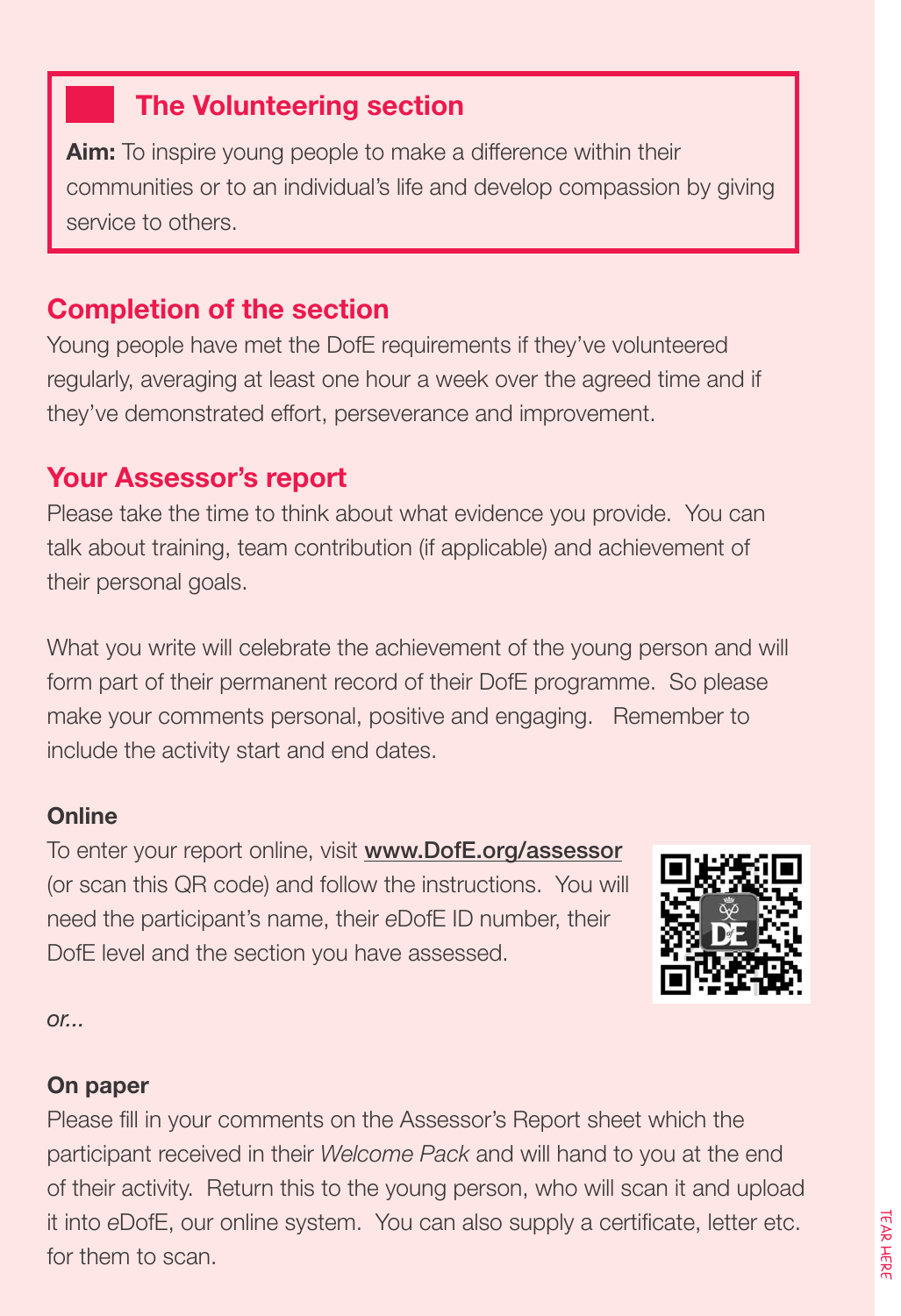#### **The Volunteering section**

**Aim:** To inspire young people to make a difference within their communities or to an individual's life and develop compassion by giving service to others.

#### **Completion of the section**

Young people have met the DofE requirements if they've volunteered regularly, averaging at least one hour a week over the agreed time and if they've demonstrated effort, perseverance and improvement.

#### **Your Assessor's report**

Please take the time to think about what evidence you provide. You can talk about training, team contribution (if applicable) and achievement of their personal goals.

What you write will celebrate the achievement of the young person and will form part of their permanent record of their DofE programme. So please make your comments personal, positive and engaging. Remember to include the activity start and end dates.

#### **Online**

To enter your report online, visit www.DofE.org/assessor (or scan this QR code) and follow the instructions. You will need the participant's name, their *e*DofE ID number, their DofE level and the section you have assessed.



*or...*

#### **On paper**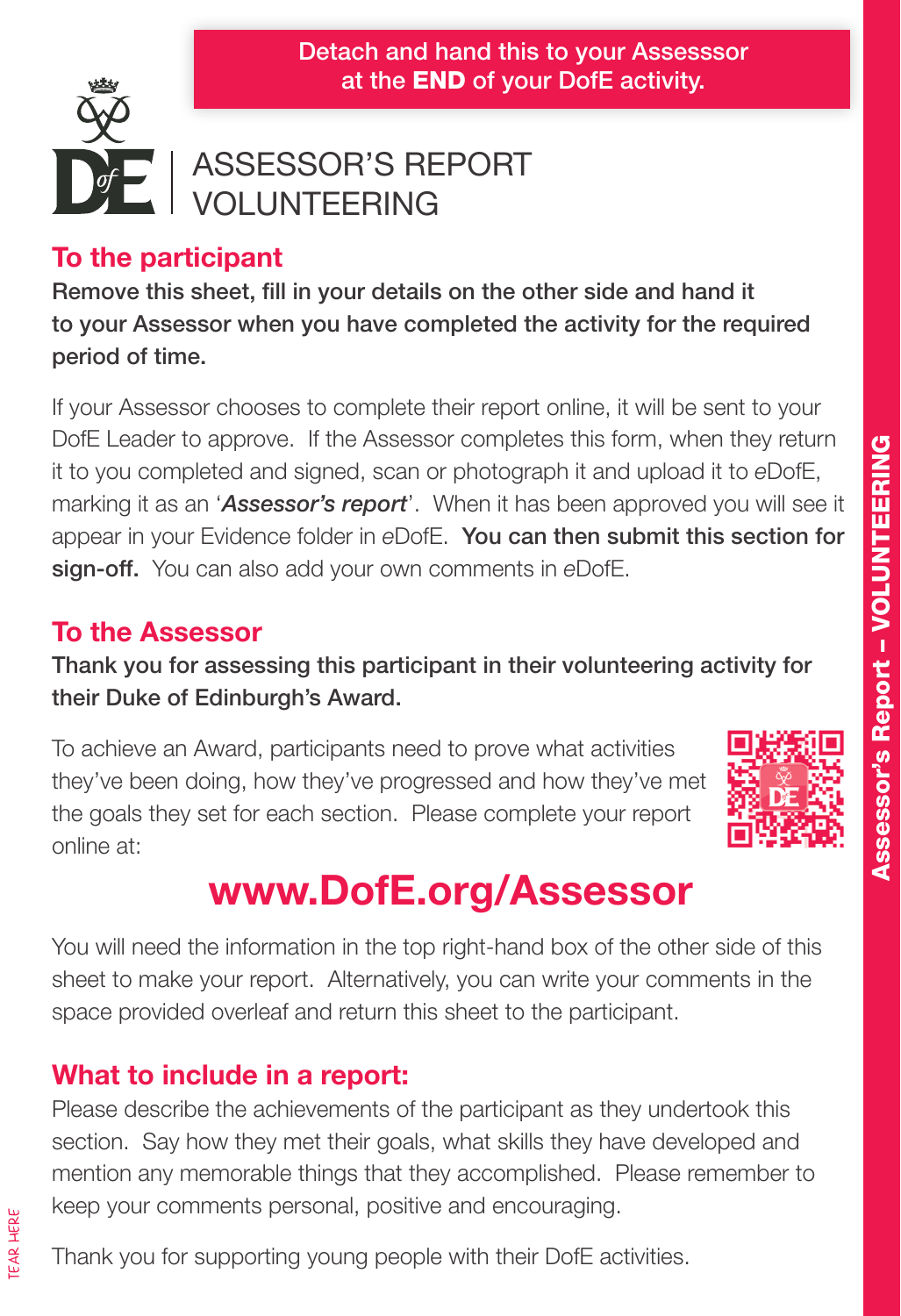

### ASSESSOR'S REPORT VOLUNTEERING

#### **To the participant**

Remove this sheet, fill in your details on the other side and hand it to your Assessor when you have completed the activity for the required period of time.

If your Assessor chooses to complete their report online, it will be sent to your DofE Leader to approve. If the Assessor completes this form, when they return it to you completed and signed, scan or photograph it and upload it to *e*DofE, marking it as an '*Assessor's report*'. When it has been approved you will see it appear in your Evidence folder in eDofE. You can then submit this section for sign-off. You can also add your own comments in *e*DofE.

#### **To the Assessor**

Thank you for assessing this participant in their volunteering activity for their Duke of Edinburgh's Award.

To achieve an Award, participants need to prove what activities they've been doing, how they've progressed and how they've met the goals they set for each section. Please complete your report online at:



# **www.DofE.org/Assessor**

You will need the information in the top right-hand box of the other side of this sheet to make your report. Alternatively, you can write your comments in the space provided overleaf and return this sheet to the participant.

#### **What to include in a report:**

Please describe the achievements of the participant as they undertook this section. Say how they met their goals, what skills they have developed and mention any memorable things that they accomplished. Please remember to keep your comments personal, positive and encouraging.

Thank you for supporting young people with their DofE activities.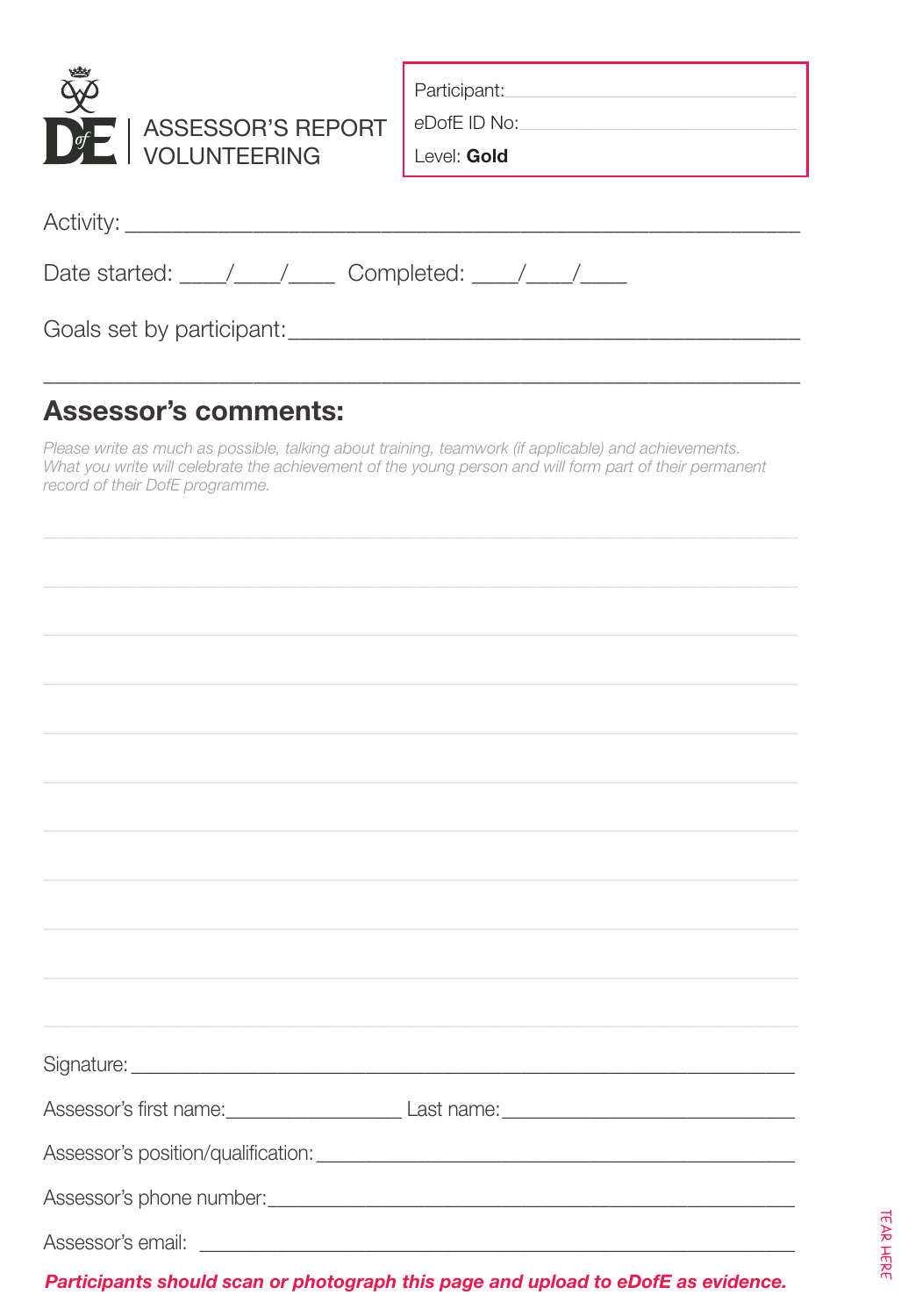| ASSESSOR'S REPORT<br>$\circ$<br><b>VOLUNTEERING</b>                                        | Participant:<br>eDofE ID No:<br>Level: Gold |  |
|--------------------------------------------------------------------------------------------|---------------------------------------------|--|
| Activity: Activity:                                                                        |                                             |  |
| Date started: $\frac{1}{\sqrt{1-\frac{1}{2}}}$ Completed: $\frac{1}{\sqrt{1-\frac{1}{2}}}$ |                                             |  |
|                                                                                            |                                             |  |

#### **Assessor's comments:**

Please write as much as possible, talking about training, teamwork (if applicable) and achievements. What you write will celebrate the achievement of the young person and will form part of their permanent record of their DofE programme.

| Signature: <u>contract and contract and contract and contract and contract and contract and contract and contract and contract and contract and contract and contract and contract and contract and contract and contract and co</u> |
|--------------------------------------------------------------------------------------------------------------------------------------------------------------------------------------------------------------------------------------|
|                                                                                                                                                                                                                                      |
|                                                                                                                                                                                                                                      |
|                                                                                                                                                                                                                                      |
|                                                                                                                                                                                                                                      |
|                                                                                                                                                                                                                                      |
|                                                                                                                                                                                                                                      |
|                                                                                                                                                                                                                                      |
| Participants should scan or photograph this page and upload to eDofE as evidence.                                                                                                                                                    |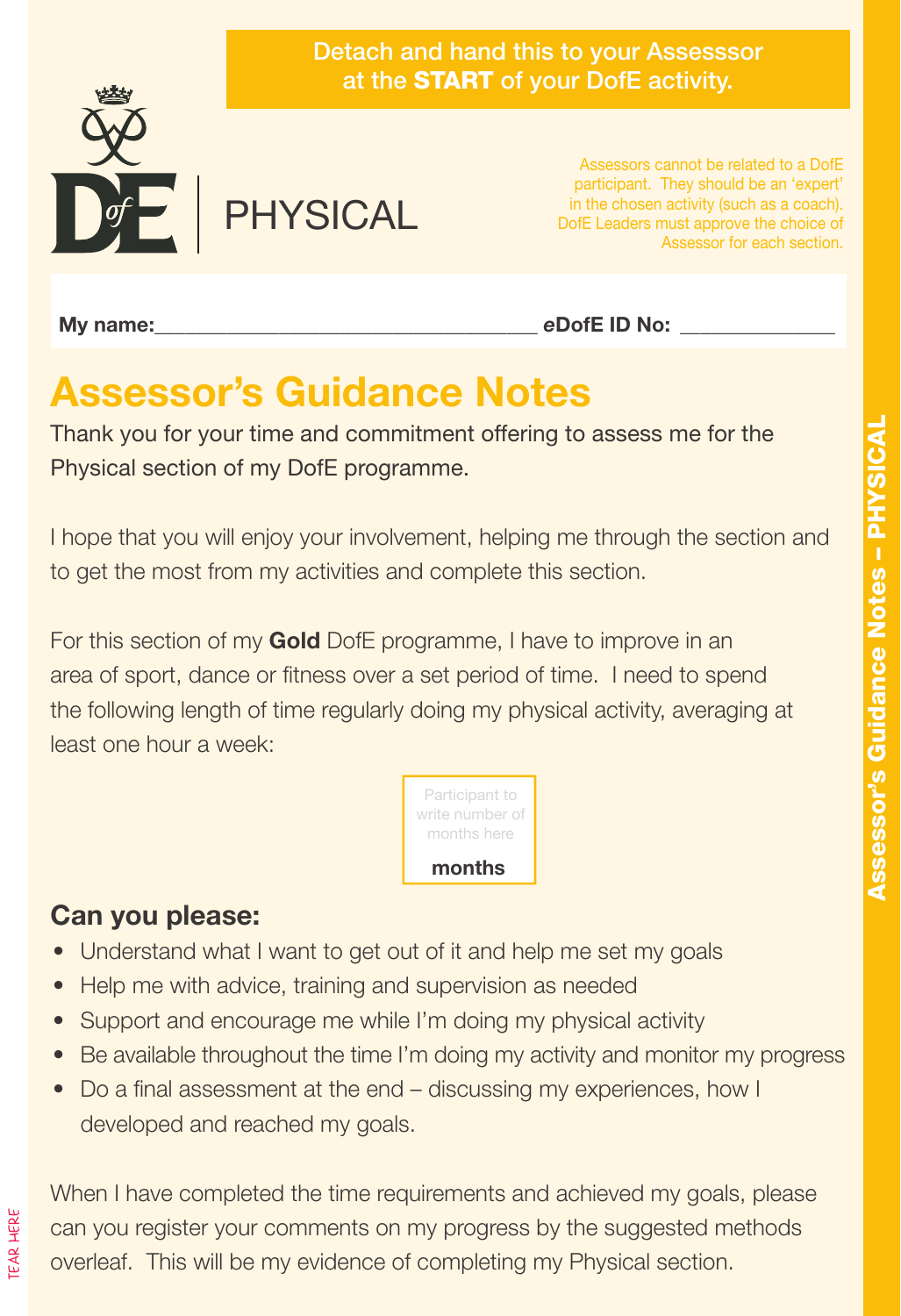



PHYSICAL

Assessors cannot be related to a DofE participant. They should be an 'expert' in the chosen activity (such as a coach). DofE Leaders must approve the choice of Assessor for each section.

My name: **Music and Allen Contract and Allen Contract and Allen Contract and Allen Contract and Allen Contract and Allen Contract and Allen Contract and Allen Contract and Allen Contract and Allen Contract and Allen Contra** 

# **Assessor's Guidance Notes**

Thank you for your time and commitment offering to assess me for the Physical section of my DofE programme.

I hope that you will enjoy your involvement, helping me through the section and to get the most from my activities and complete this section.

For this section of my **Gold** DofE programme, I have to improve in an area of sport, dance or fitness over a set period of time. I need to spend the following length of time regularly doing my physical activity, averaging at least one hour a week:



#### **Can you please:**

TEAR HERE

- Understand what I want to get out of it and help me set my goals
- Help me with advice, training and supervision as needed
- Support and encourage me while I'm doing my physical activity
- Be available throughout the time I'm doing my activity and monitor my progress
- Do a final assessment at the end discussing my experiences, how I developed and reached my goals.

When I have completed the time requirements and achieved my goals, please can you register your comments on my progress by the suggested methods overleaf. This will be my evidence of completing my Physical section.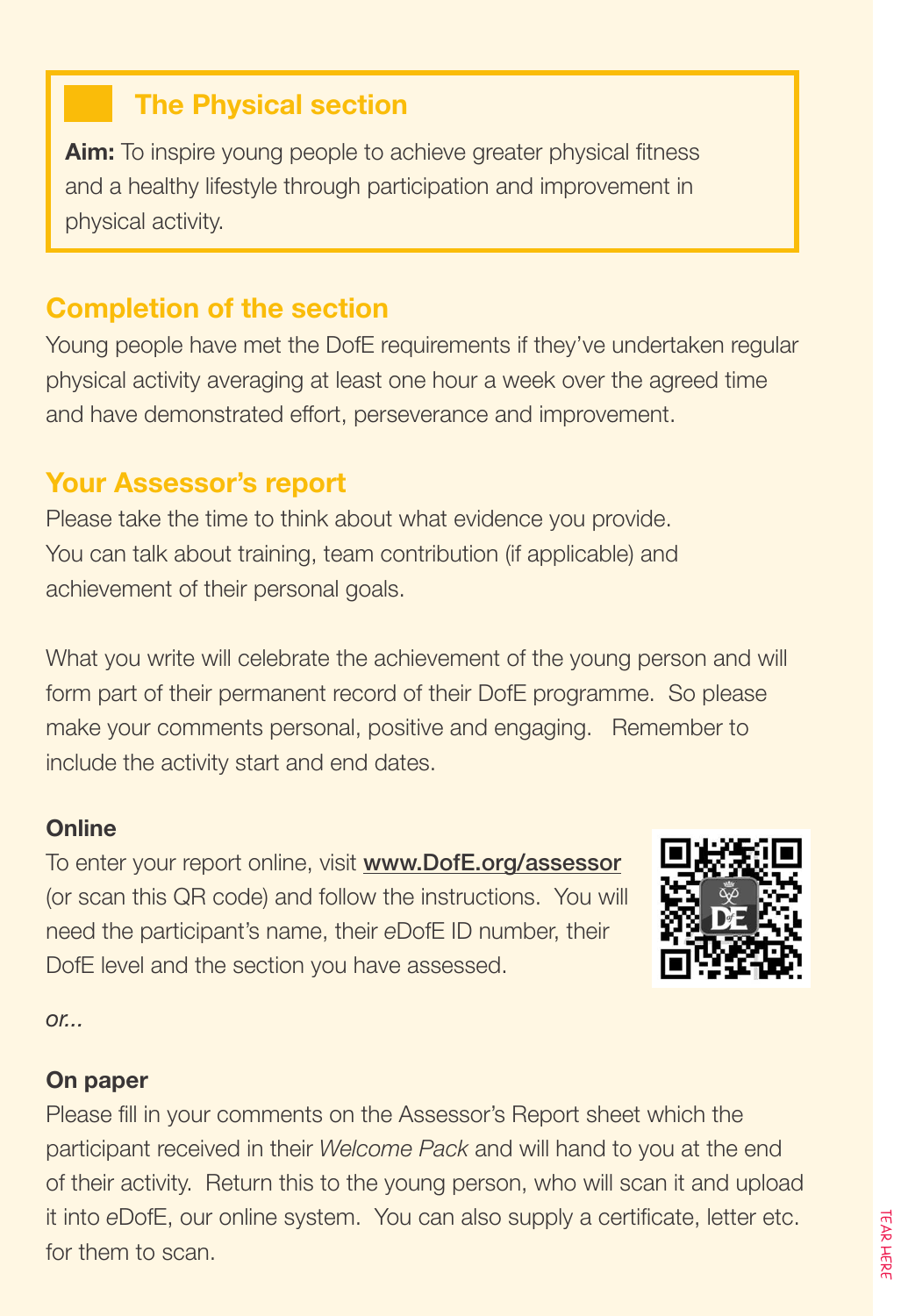#### **The Physical section**

**Aim:** To inspire young people to achieve greater physical fitness and a healthy lifestyle through participation and improvement in physical activity.

#### **Completion of the section**

Young people have met the DofE requirements if they've undertaken regular physical activity averaging at least one hour a week over the agreed time and have demonstrated effort, perseverance and improvement.

#### **Your Assessor's report**

Please take the time to think about what evidence you provide. You can talk about training, team contribution (if applicable) and achievement of their personal goals.

What you write will celebrate the achievement of the young person and will form part of their permanent record of their DofE programme. So please make your comments personal, positive and engaging. Remember to include the activity start and end dates.

#### **Online**

To enter your report online, visit www.DofE.org/assessor (or scan this QR code) and follow the instructions. You will need the participant's name, their *e*DofE ID number, their DofE level and the section you have assessed.



*or...*

#### **On paper**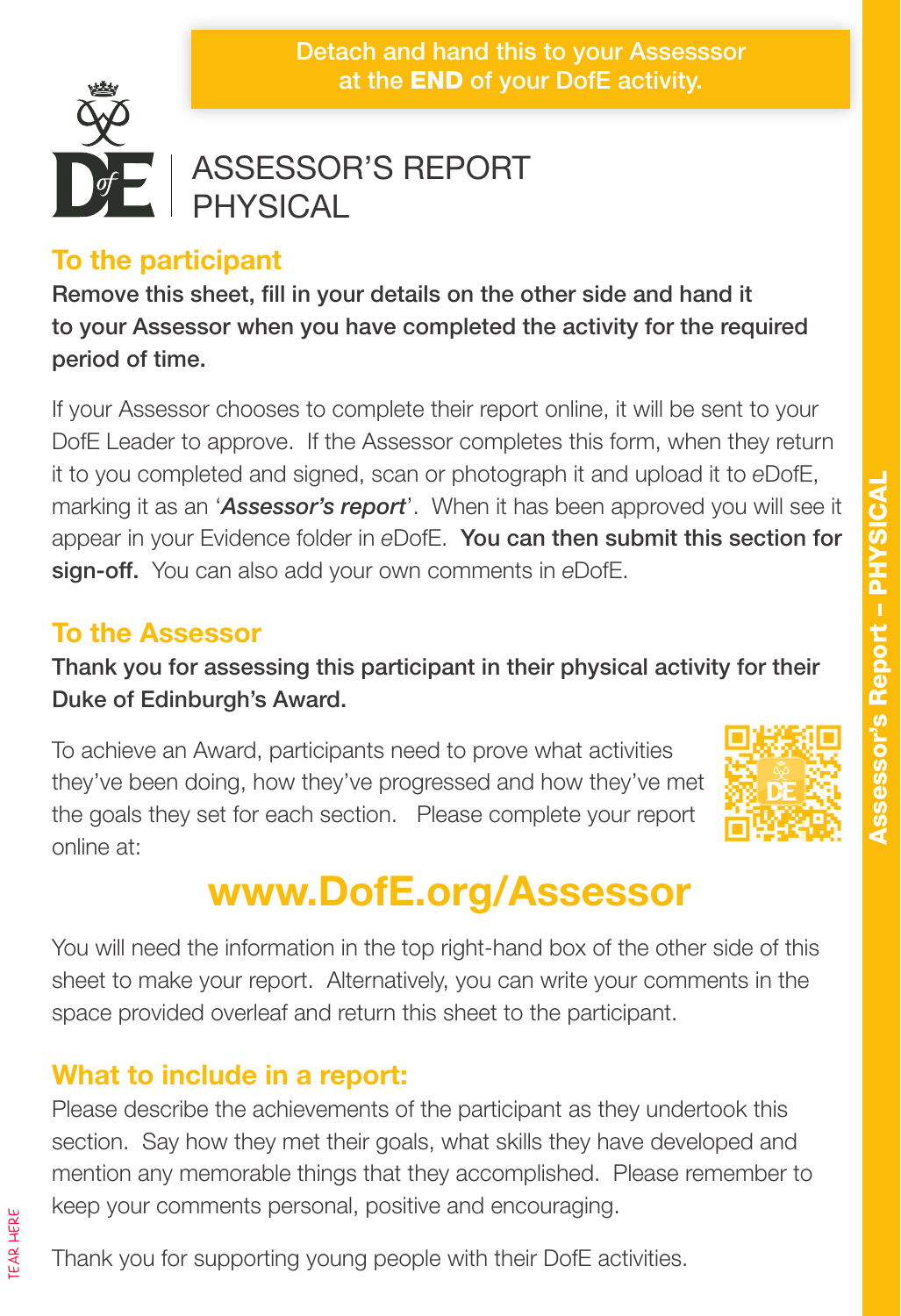Detach and hand this to your Assesssor at the END of your DofE activity.



#### ASSESSOR'S REPORT PHYSICAL

#### **To the participant**

Remove this sheet, fill in your details on the other side and hand it to your Assessor when you have completed the activity for the required period of time.

If your Assessor chooses to complete their report online, it will be sent to your DofE Leader to approve. If the Assessor completes this form, when they return it to you completed and signed, scan or photograph it and upload it to *e*DofE, marking it as an '*Assessor's report*'. When it has been approved you will see it appear in your Evidence folder in *e*DofE. You can then submit this section for sign-off. You can also add your own comments in *e*DofE.

#### **To the Assessor**

Thank you for assessing this participant in their physical activity for their Duke of Edinburgh's Award.

To achieve an Award, participants need to prove what activities they've been doing, how they've progressed and how they've met the goals they set for each section. Please complete your report online at:



# **www.DofE.org/Assessor**

You will need the information in the top right-hand box of the other side of this sheet to make your report. Alternatively, you can write your comments in the space provided overleaf and return this sheet to the participant.

#### **What to include in a report:**

Please describe the achievements of the participant as they undertook this section. Say how they met their goals, what skills they have developed and mention any memorable things that they accomplished. Please remember to keep your comments personal, positive and encouraging.

Thank you for supporting young people with their DofE activities.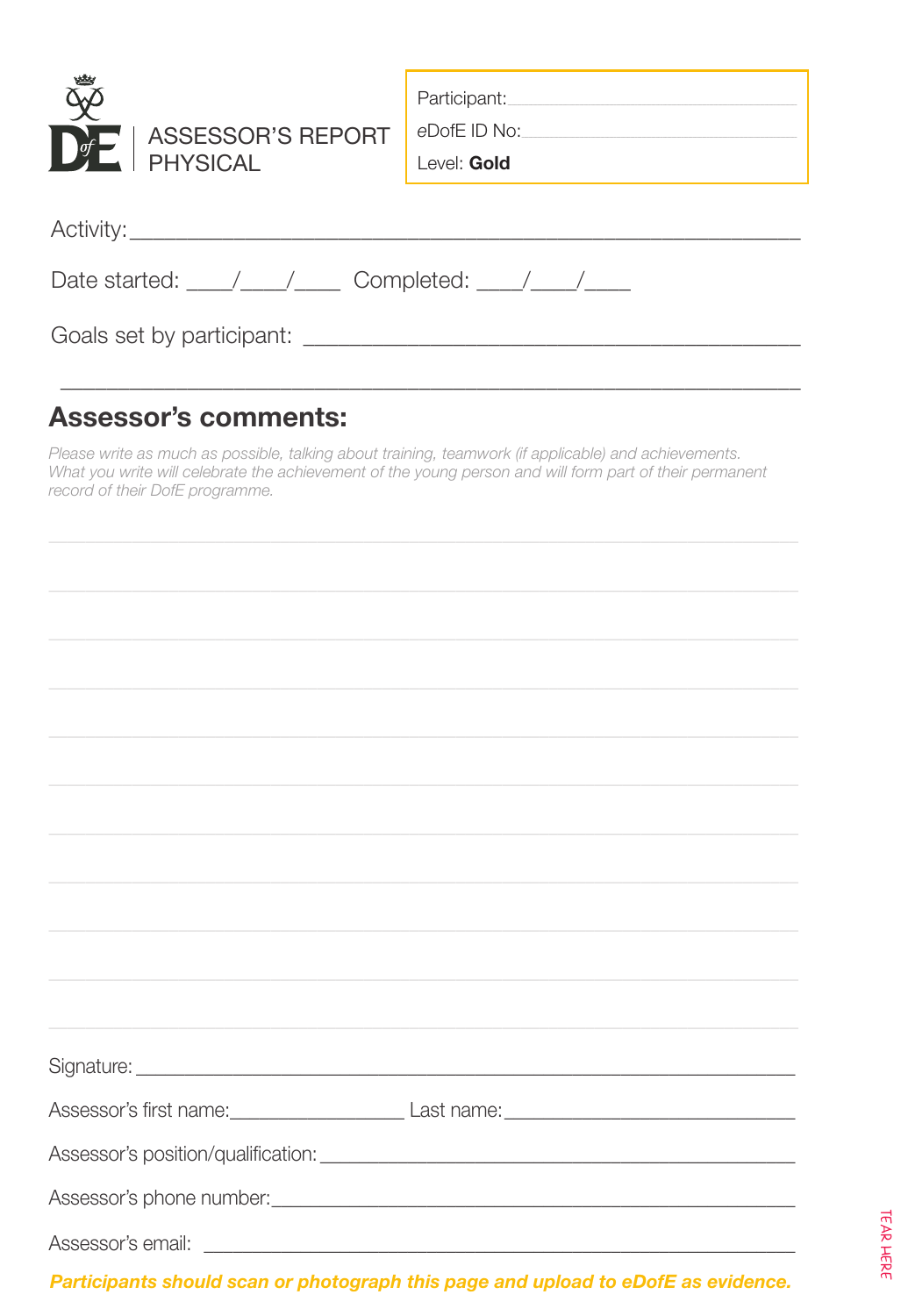| ASSESSOR'S REPORT<br>$\bigcap_{i=1}^{n}$<br><b>PHYSICAL</b>                                | Participant: National Participant<br>eDofE ID No:<br>Level: Gold |  |
|--------------------------------------------------------------------------------------------|------------------------------------------------------------------|--|
|                                                                                            |                                                                  |  |
| Date started: $\frac{1}{\sqrt{1-\frac{1}{2}}}$ Completed: $\frac{1}{\sqrt{1-\frac{1}{2}}}$ |                                                                  |  |
|                                                                                            |                                                                  |  |

#### **Assessor's comments:**

Please write as much as possible, talking about training, teamwork (if applicable) and achievements. What you write will celebrate the achievement of the young person and will form part of their permanent record of their DofE programme.

| Participants should scan or photograph this page and upload to eDofE as evidence. |
|-----------------------------------------------------------------------------------|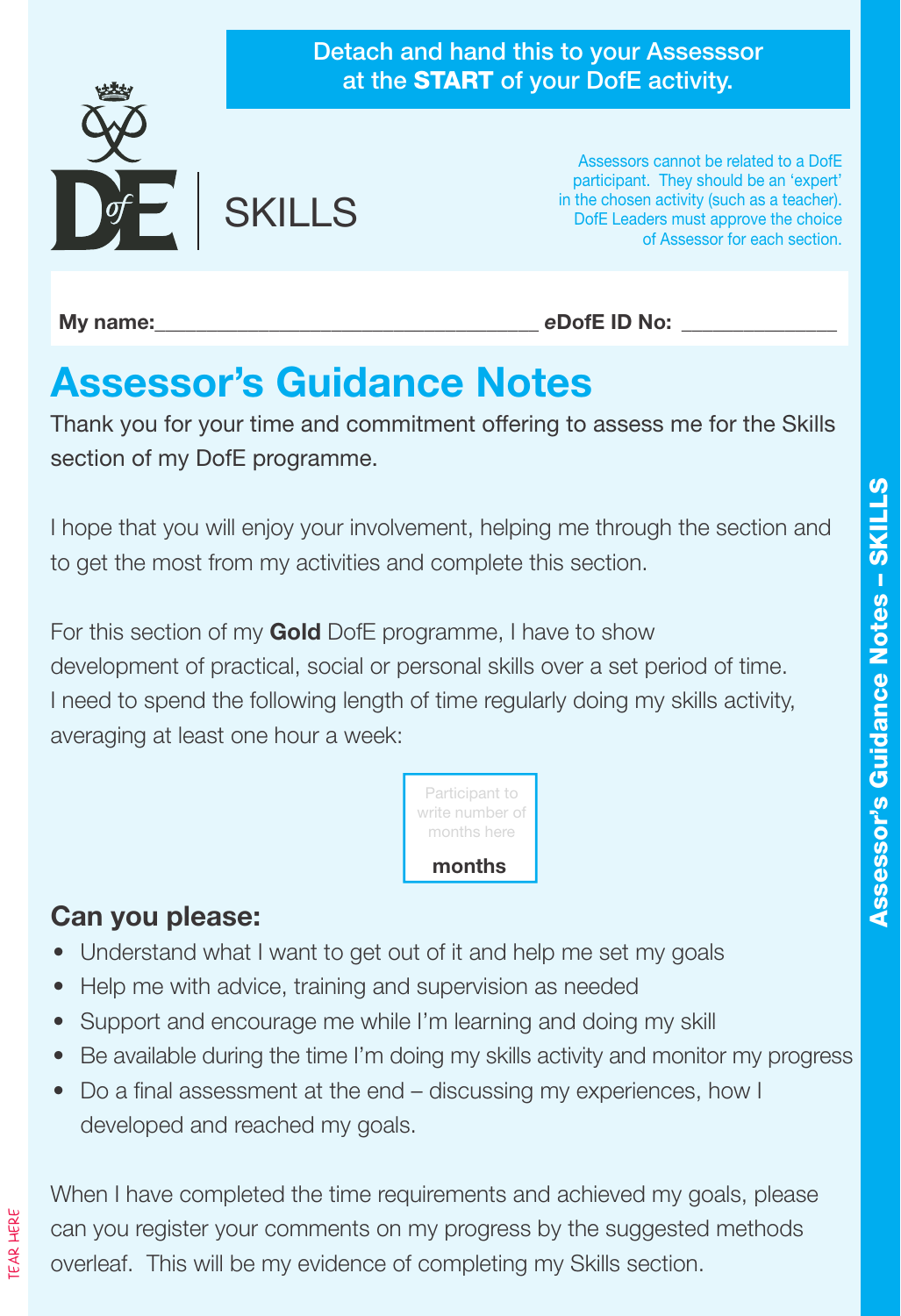

**My name:**  $\qquad \qquad$  **eDofE ID No:**  $\qquad \qquad$ 

# **Assessor's Guidance Notes**

Thank you for your time and commitment offering to assess me for the Skills section of my DofE programme.

I hope that you will enjoy your involvement, helping me through the section and to get the most from my activities and complete this section.

For this section of my **Gold** DofE programme, I have to show development of practical, social or personal skills over a set period of time. I need to spend the following length of time regularly doing my skills activity, averaging at least one hour a week:



#### **Can you please:**

- Understand what I want to get out of it and help me set my goals
- Help me with advice, training and supervision as needed
- Support and encourage me while I'm learning and doing my skill
- Be available during the time I'm doing my skills activity and monitor my progress
- Do a final assessment at the end discussing my experiences, how I developed and reached my goals.

When I have completed the time requirements and achieved my goals, please can you register your comments on my progress by the suggested methods overleaf. This will be my evidence of completing my Skills section.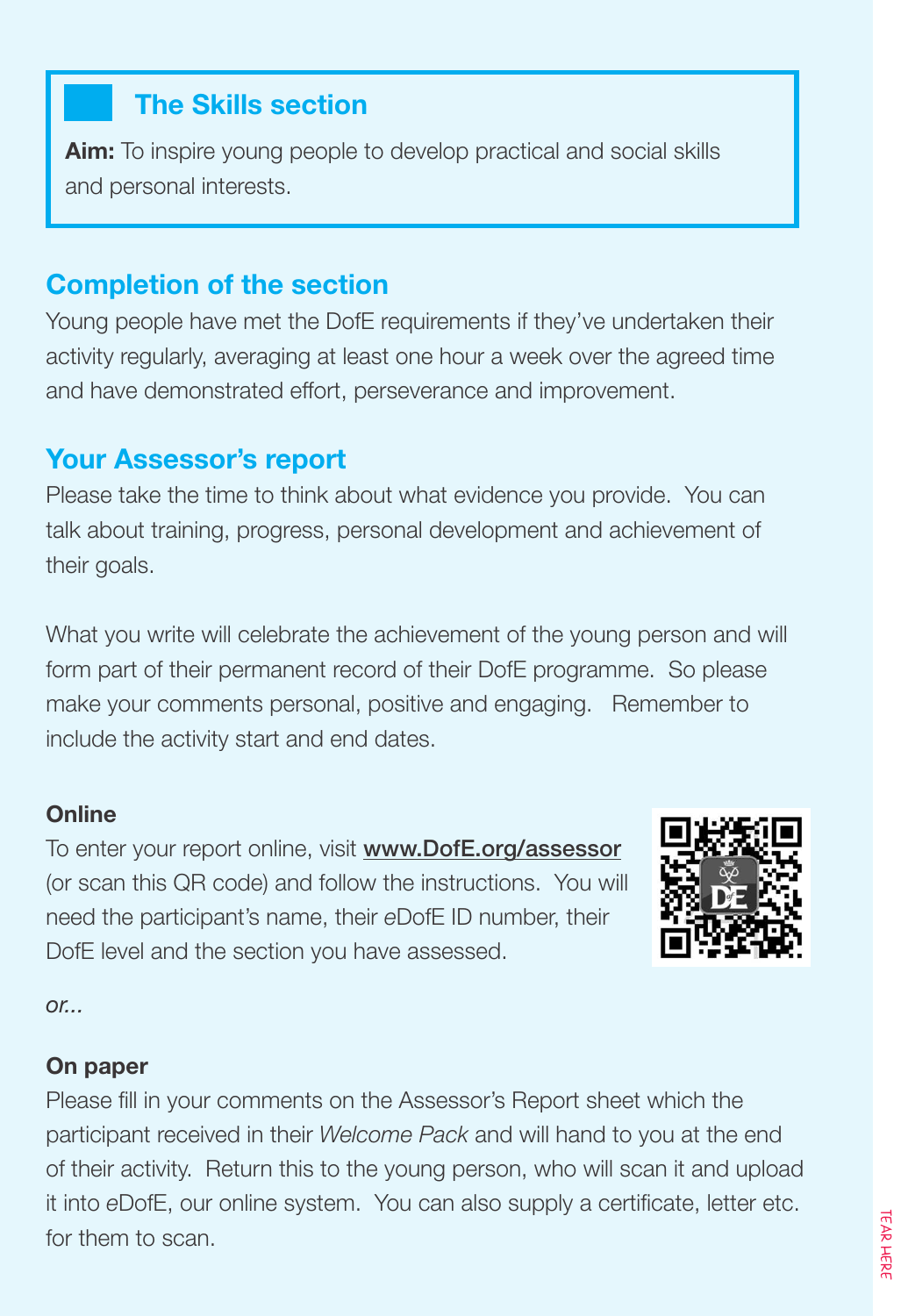#### **The Skills section**

**Aim:** To inspire young people to develop practical and social skills and personal interests.

#### **Completion of the section**

Young people have met the DofE requirements if they've undertaken their activity regularly, averaging at least one hour a week over the agreed time and have demonstrated effort, perseverance and improvement.

#### **Your Assessor's report**

Please take the time to think about what evidence you provide. You can talk about training, progress, personal development and achievement of their goals.

What you write will celebrate the achievement of the young person and will form part of their permanent record of their DofE programme. So please make your comments personal, positive and engaging. Remember to include the activity start and end dates.

#### **Online**

To enter your report online, visit www.DofE.org/assessor (or scan this QR code) and follow the instructions. You will need the participant's name, their *e*DofE ID number, their DofE level and the section you have assessed.



*or...*

#### **On paper**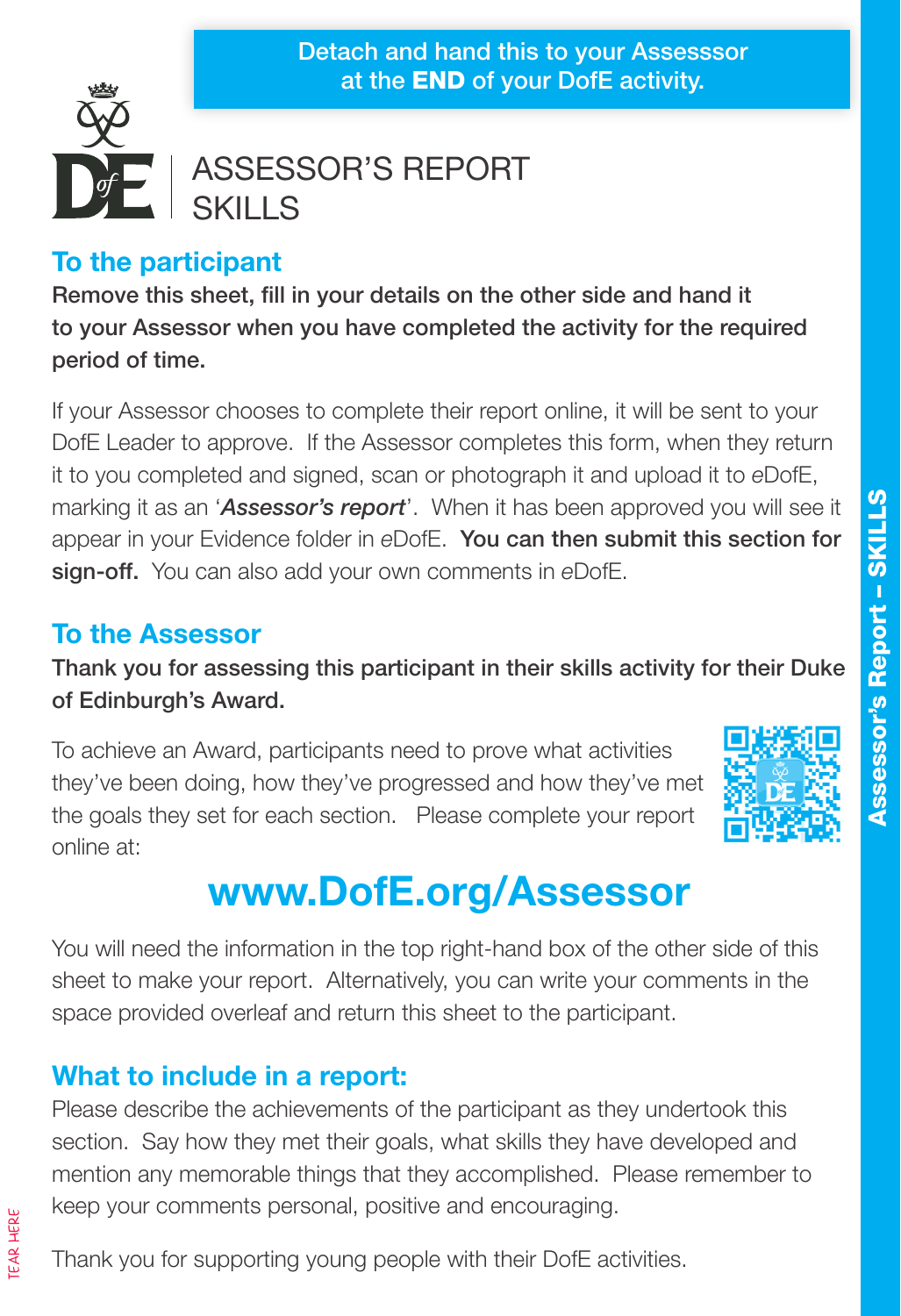#### Detach and hand this to your Assesssor at the END of your DofE activity.



#### ASSESSOR'S REPORT SKILLS

#### **To the participant**

Remove this sheet, fill in your details on the other side and hand it to your Assessor when you have completed the activity for the required period of time.

If your Assessor chooses to complete their report online, it will be sent to your DofE Leader to approve. If the Assessor completes this form, when they return it to you completed and signed, scan or photograph it and upload it to *e*DofE, marking it as an '*Assessor's report*'. When it has been approved you will see it appear in your Evidence folder in *e*DofE. You can then submit this section for sign-off. You can also add your own comments in *e*DofE.

#### **To the Assessor**

Thank you for assessing this participant in their skills activity for their Duke of Edinburgh's Award.

To achieve an Award, participants need to prove what activities they've been doing, how they've progressed and how they've met the goals they set for each section. Please complete your report online at:



# **www.DofE.org/Assessor**

You will need the information in the top right-hand box of the other side of this sheet to make your report. Alternatively, you can write your comments in the space provided overleaf and return this sheet to the participant.

#### **What to include in a report:**

Please describe the achievements of the participant as they undertook this section. Say how they met their goals, what skills they have developed and mention any memorable things that they accomplished. Please remember to keep your comments personal, positive and encouraging.

Thank you for supporting young people with their DofE activities.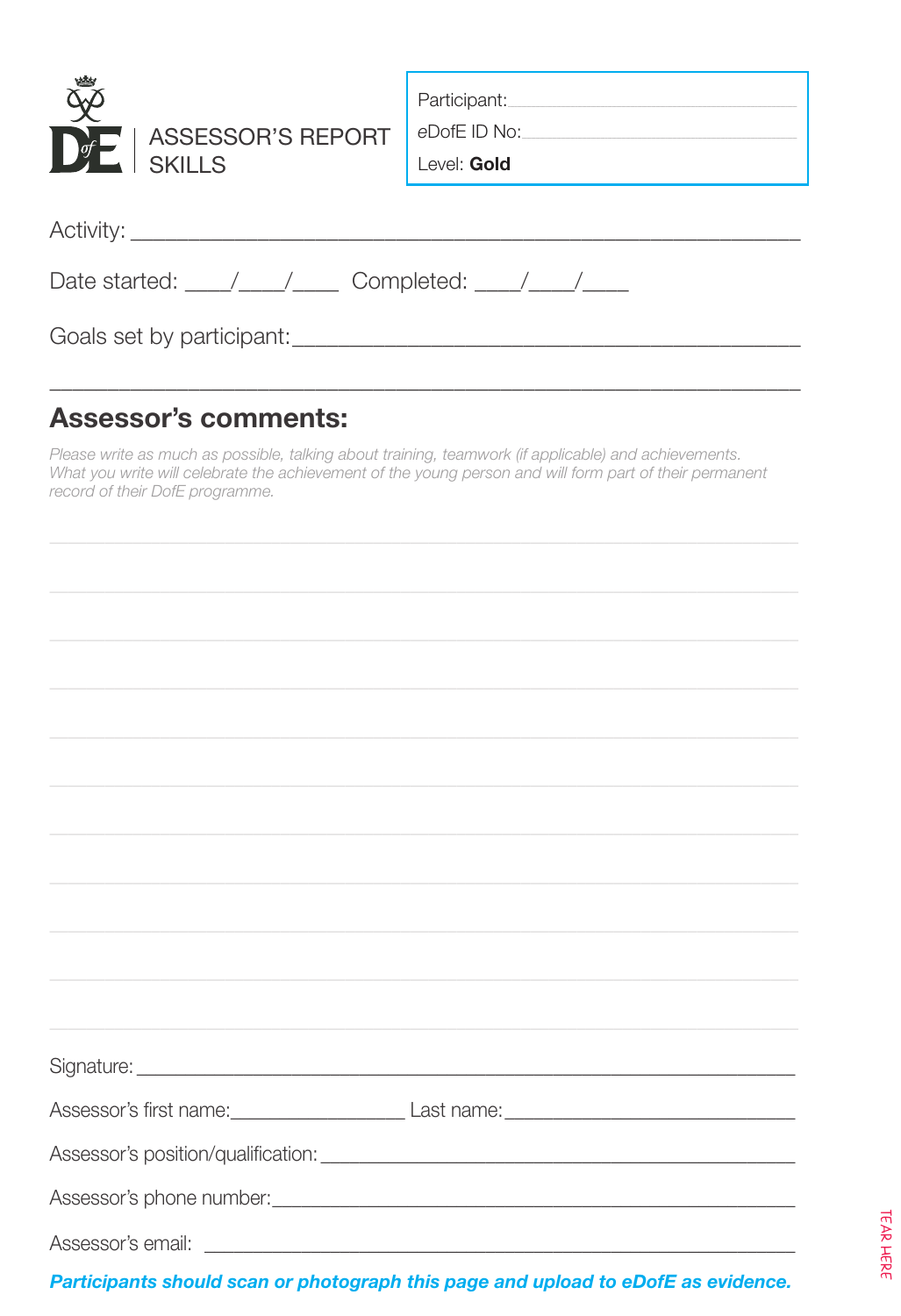| ASSESSOR'S REPORT<br>$\bigcup_{i=1}^{n}$<br><b>SKILLS</b>                                  | Participant:<br>eDofE ID No:<br>Level: Gold |  |
|--------------------------------------------------------------------------------------------|---------------------------------------------|--|
|                                                                                            |                                             |  |
| Date started: $\frac{1}{\sqrt{1-\frac{1}{2}}}$ Completed: $\frac{1}{\sqrt{1-\frac{1}{2}}}$ |                                             |  |
|                                                                                            |                                             |  |

#### **Assessor's comments:**

Please write as much as possible, talking about training, teamwork (if applicable) and achievements. What you write will celebrate the achievement of the young person and will form part of their permanent record of their DofE programme.

| ,我们也不会有什么。""我们的人,我们也不会有什么?""我们的人,我们也不会有什么?""我们的人,我们也不会有什么?""我们的人,我们也不会有什么?""我们的人                                                                                                                                               |
|--------------------------------------------------------------------------------------------------------------------------------------------------------------------------------------------------------------------------------|
|                                                                                                                                                                                                                                |
|                                                                                                                                                                                                                                |
|                                                                                                                                                                                                                                |
|                                                                                                                                                                                                                                |
|                                                                                                                                                                                                                                |
|                                                                                                                                                                                                                                |
|                                                                                                                                                                                                                                |
| Assessor's first name: Last name: Last name: Last name: Last name: Last name: Last name: Last name: Last name: Last name: Last name: Last name: Last name: Last name: Last name: Last name: Last name: Last name: Last name: L |
|                                                                                                                                                                                                                                |
|                                                                                                                                                                                                                                |
|                                                                                                                                                                                                                                |
|                                                                                                                                                                                                                                |
|                                                                                                                                                                                                                                |
|                                                                                                                                                                                                                                |
| Participants should scan or photograph this page and upload to eDofE as evidence.                                                                                                                                              |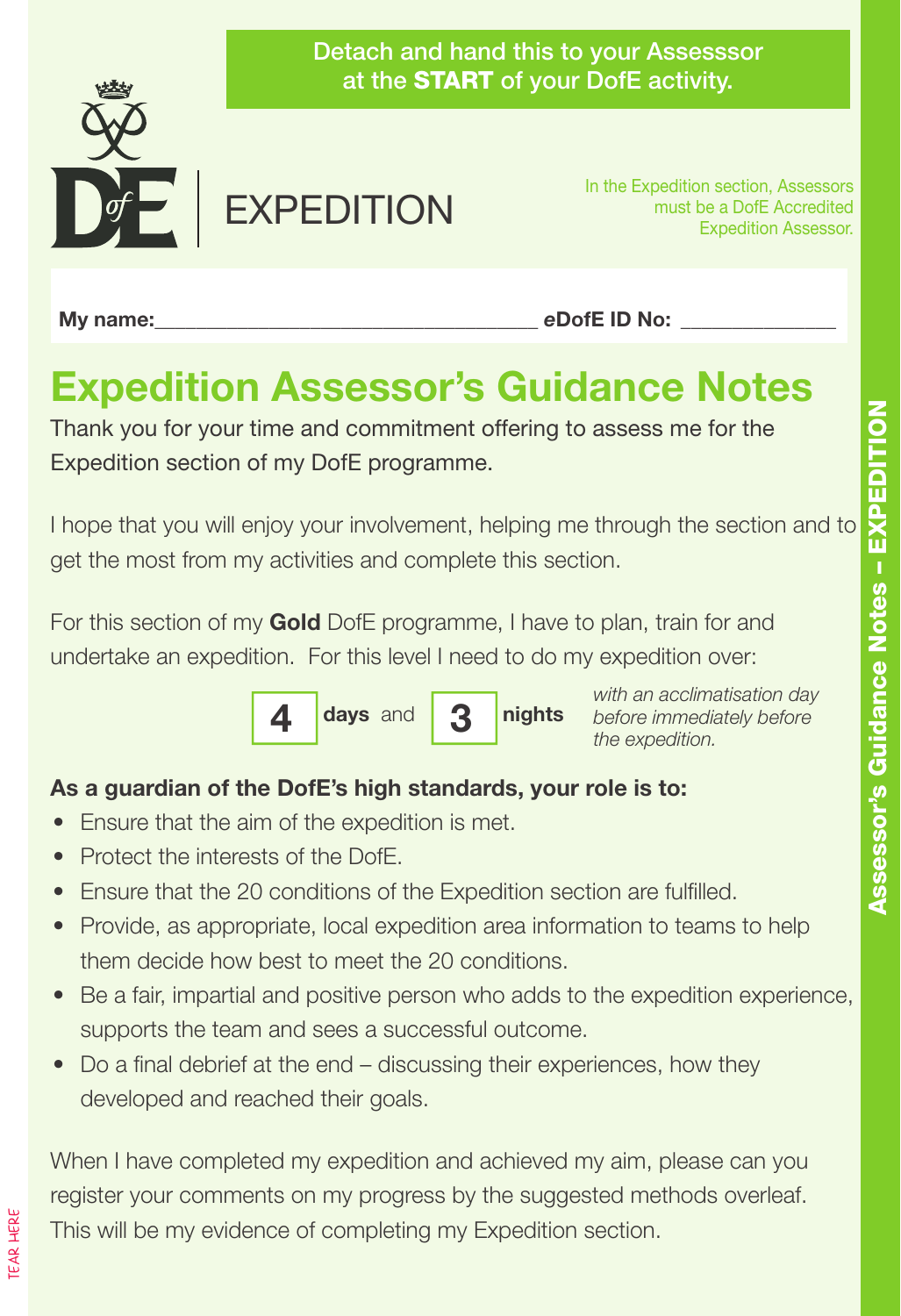

My name: eDofE ID No:

## **Expedition Assessor's Guidance Notes**

Thank you for your time and commitment offering to assess me for the Expedition section of my DofE programme.

I hope that you will enjoy your involvement, helping me through the section and to get the most from my activities and complete this section.

For this section of my **Gold** DofE programme, I have to plan, train for and undertake an expedition. For this level I need to do my expedition over:



*with an acclimatisation day before immediately before the expedition.*

#### **As a guardian of the DofE's high standards, your role is to:**

- Ensure that the aim of the expedition is met.
- Protect the interests of the DofE.
- Ensure that the 20 conditions of the Expedition section are fulfilled.
- Provide, as appropriate, local expedition area information to teams to help them decide how best to meet the 20 conditions.
- Be a fair, impartial and positive person who adds to the expedition experience, supports the team and sees a successful outcome.
- Do a final debrief at the end discussing their experiences, how they developed and reached their goals.

When I have completed my expedition and achieved my aim, please can you register your comments on my progress by the suggested methods overleaf. This will be my evidence of completing my Expedition section.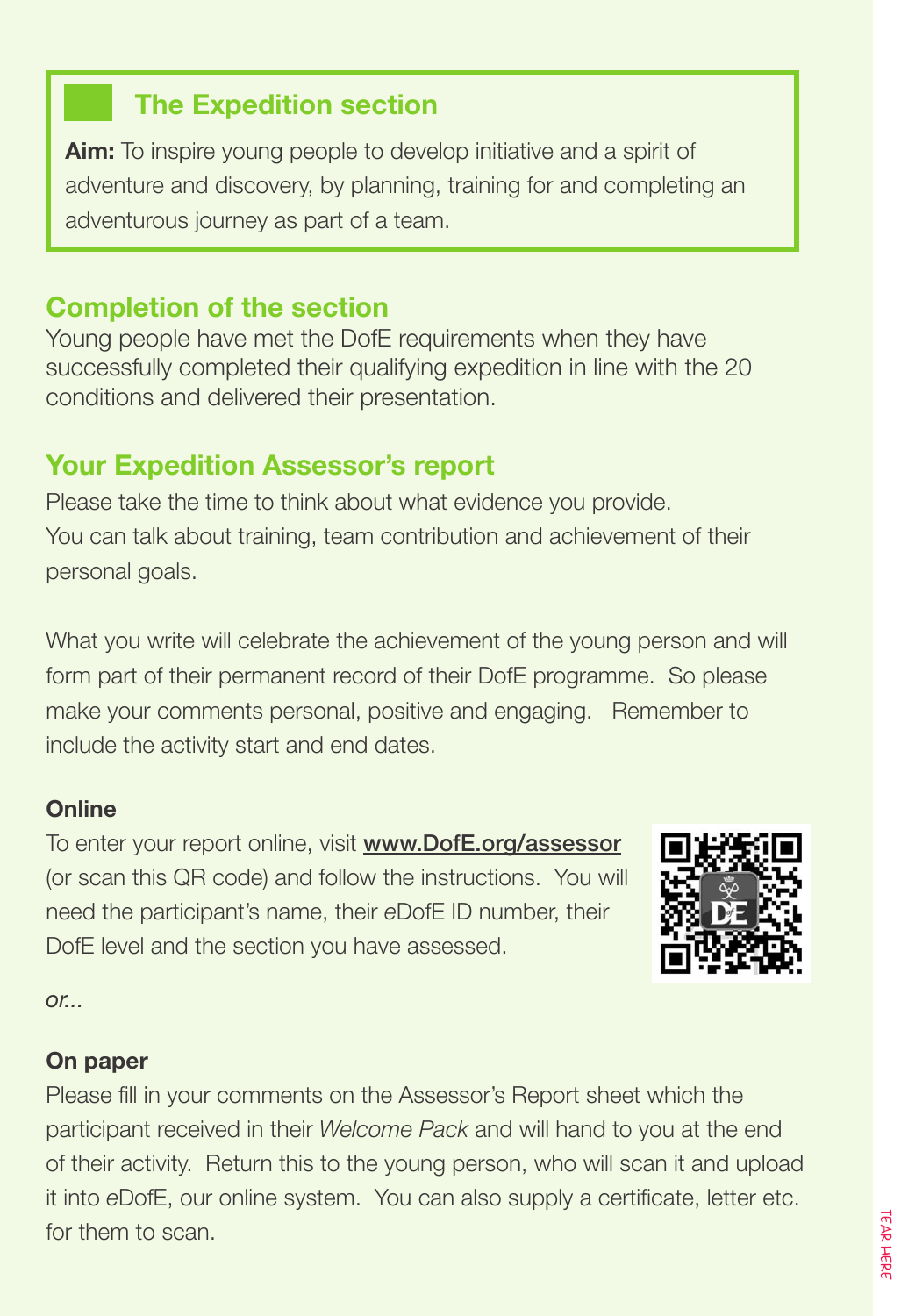#### **The Expedition section**

**Aim:** To inspire young people to develop initiative and a spirit of adventure and discovery, by planning, training for and completing an adventurous journey as part of a team.

#### **Completion of the section**

Young people have met the DofE requirements when they have successfully completed their qualifying expedition in line with the 20 conditions and delivered their presentation.

#### **Your Expedition Assessor's report**

Please take the time to think about what evidence you provide. You can talk about training, team contribution and achievement of their personal goals.

What you write will celebrate the achievement of the young person and will form part of their permanent record of their DofE programme. So please make your comments personal, positive and engaging. Remember to include the activity start and end dates.

#### **Online**

To enter your report online, visit www.DofE.org/assessor (or scan this QR code) and follow the instructions. You will need the participant's name, their *e*DofE ID number, their DofE level and the section you have assessed.



*or...*

#### **On paper**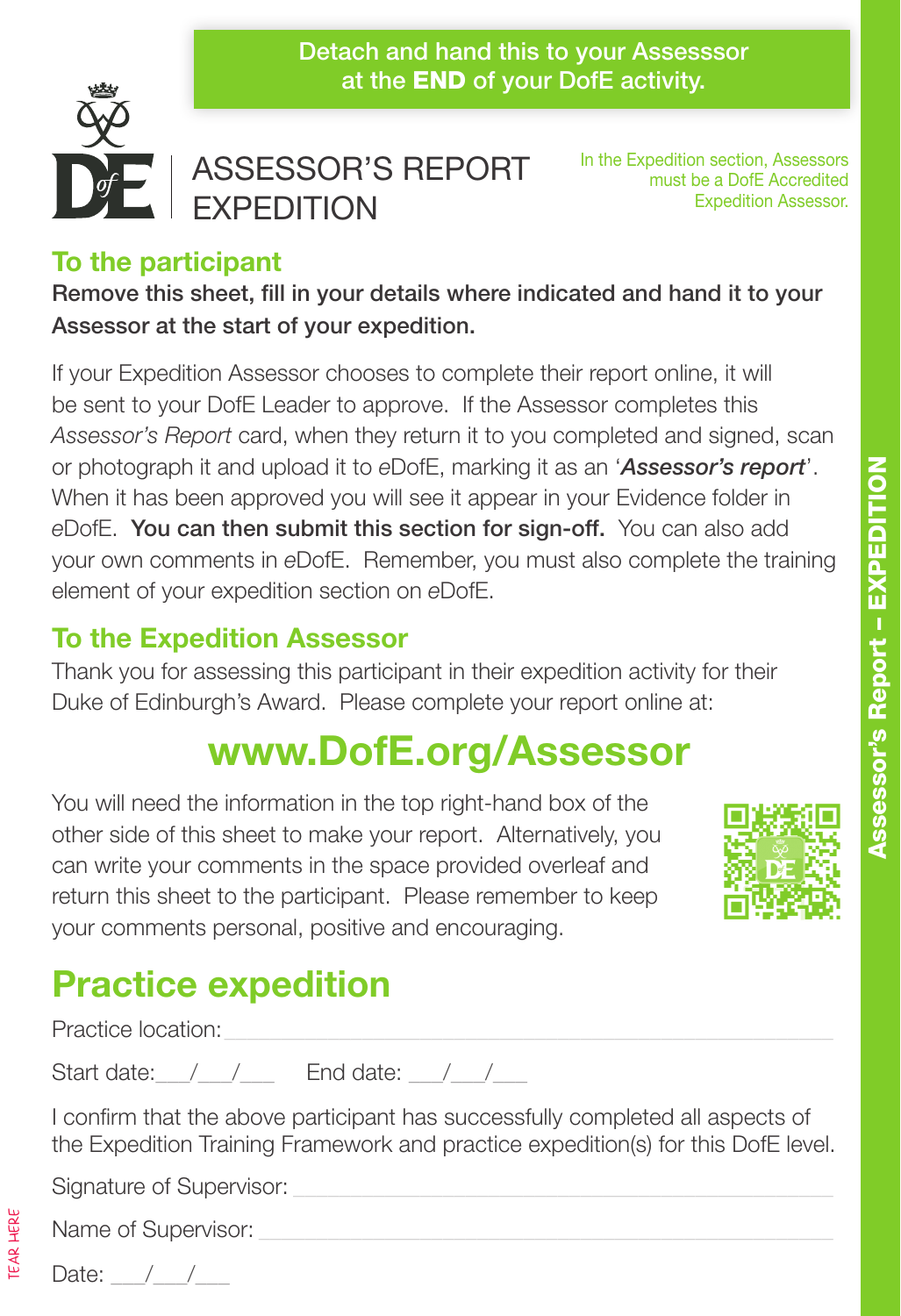Detach and hand this to your Assesssor at the END of your DofE activity.



#### ASSESSOR'S REPORT **EXPEDITION**

In the Expedition section, Assessors must be a DofE Accredited Expedition Assessor.

#### **To the participant**

Remove this sheet, fill in your details where indicated and hand it to your Assessor at the start of your expedition.

If your Expedition Assessor chooses to complete their report online, it will be sent to your DofE Leader to approve. If the Assessor completes this *Assessor's Report* card, when they return it to you completed and signed, scan or photograph it and upload it to *e*DofE, marking it as an '*Assessor's report*'. When it has been approved you will see it appear in your Evidence folder in *e*DofE. You can then submit this section for sign-off. You can also add your own comments in *e*DofE. Remember, you must also complete the training element of your expedition section on *e*DofE.

#### **To the Expedition Assessor**

Thank you for assessing this participant in their expedition activity for their Duke of Edinburgh's Award. Please complete your report online at:

# **www.DofE.org/Assessor**

You will need the information in the top right-hand box of the other side of this sheet to make your report. Alternatively, you can write your comments in the space provided overleaf and return this sheet to the participant. Please remember to keep your comments personal, positive and encouraging.



# **Practice expedition**

Practice location:

Start date:  $\frac{1}{2}$  /  $\frac{1}{2}$  End date:  $\frac{1}{2}$ 

I confirm that the above participant has successfully completed all aspects of the Expedition Training Framework and practice expedition(s) for this DofE level.

Signature of Supervisor:

TEAR HERE

Name of Supervisor:

Date:  $/$  /

Assessor's Report – EXPEDITION

Assessor's Report - EXPEDITION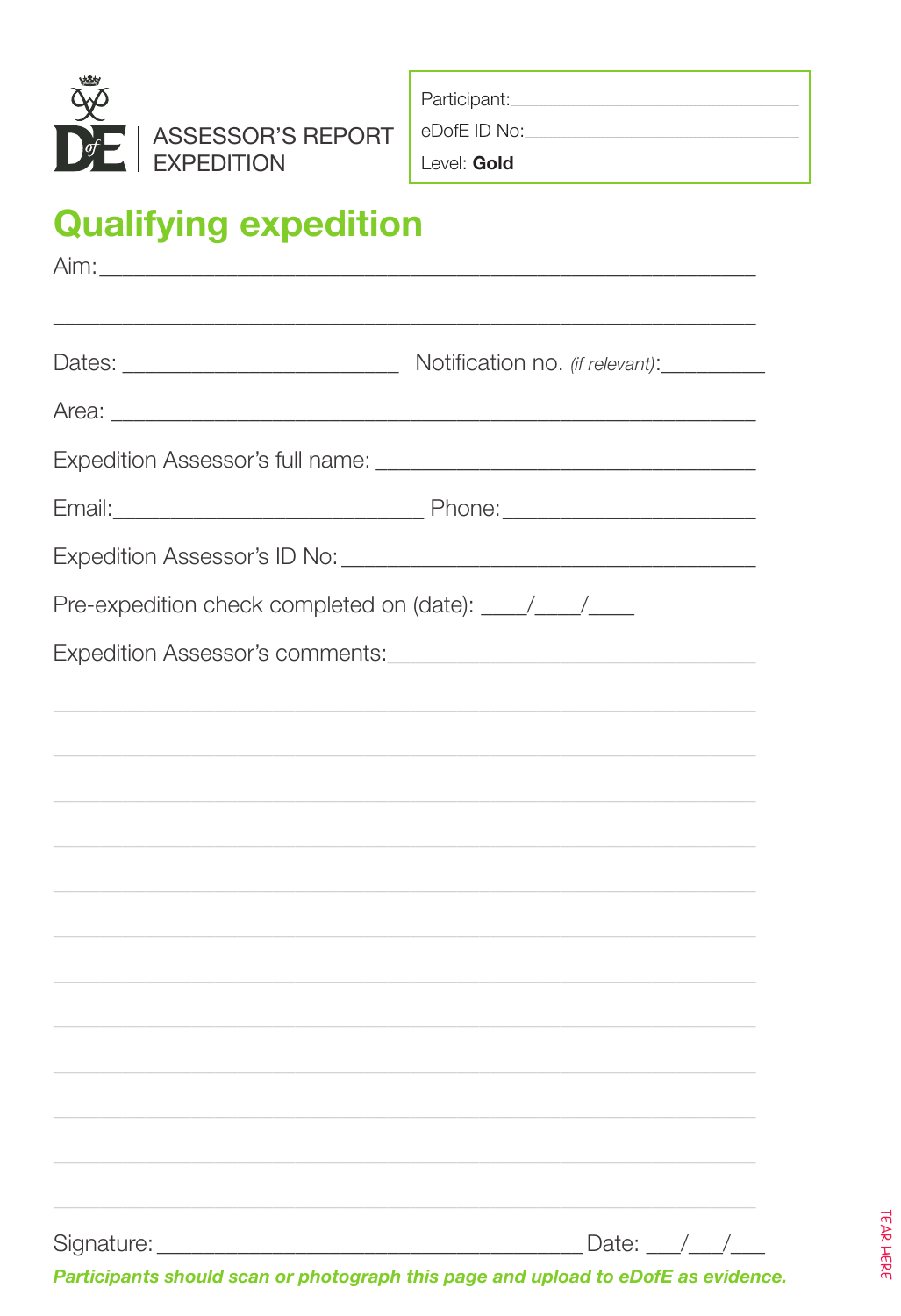

Participant:

eDofE ID No:

Level: Gold

# **Qualifying expedition**

| Area: <u>2008 - 2008 - 2008 - 2008 - 2008 - 2008 - 2008 - 2008 - 2008 - 2008 - 2008 - 2008 - 2008 - 2008 - 2008 - 2008 - 2008 - 2008 - 2008 - 2008 - 2008 - 2008 - 2008 - 2008 - 2008 - 2008 - 2008 - 2008 - 2008 - 2008 - 2008 </u> |  |
|--------------------------------------------------------------------------------------------------------------------------------------------------------------------------------------------------------------------------------------|--|
|                                                                                                                                                                                                                                      |  |
|                                                                                                                                                                                                                                      |  |
|                                                                                                                                                                                                                                      |  |
| Pre-expedition check completed on (date): ____/____/____                                                                                                                                                                             |  |
| Expedition Assessor's comments: www.commenter.community.community.community.community.community.com                                                                                                                                  |  |
|                                                                                                                                                                                                                                      |  |
|                                                                                                                                                                                                                                      |  |
|                                                                                                                                                                                                                                      |  |
|                                                                                                                                                                                                                                      |  |
|                                                                                                                                                                                                                                      |  |
|                                                                                                                                                                                                                                      |  |
|                                                                                                                                                                                                                                      |  |
|                                                                                                                                                                                                                                      |  |
|                                                                                                                                                                                                                                      |  |
|                                                                                                                                                                                                                                      |  |
|                                                                                                                                                                                                                                      |  |
|                                                                                                                                                                                                                                      |  |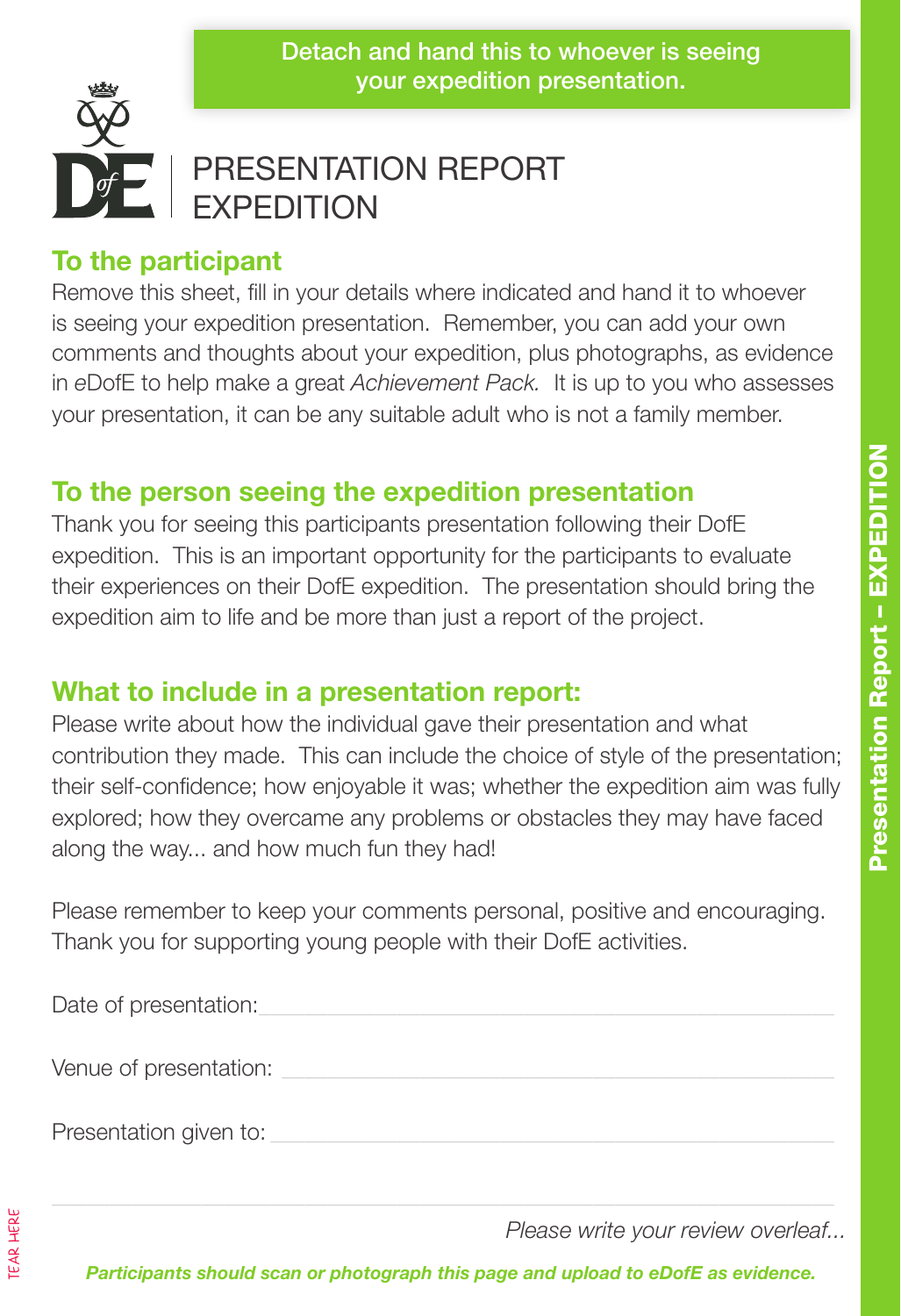

### PRESENTATION REPORT EXPEDITION

#### **To the participant**

Remove this sheet, fill in your details where indicated and hand it to whoever is seeing your expedition presentation. Remember, you can add your own comments and thoughts about your expedition, plus photographs, as evidence in *e*DofE to help make a great *Achievement Pack.* It is up to you who assesses your presentation, it can be any suitable adult who is not a family member.

#### **To the person seeing the expedition presentation**

Thank you for seeing this participants presentation following their DofE expedition. This is an important opportunity for the participants to evaluate their experiences on their DofE expedition. The presentation should bring the expedition aim to life and be more than just a report of the project.

#### **What to include in a presentation report:**

Please write about how the individual gave their presentation and what contribution they made. This can include the choice of style of the presentation; their self-confidence; how enjoyable it was; whether the expedition aim was fully explored; how they overcame any problems or obstacles they may have faced along the way... and how much fun they had!

Please remember to keep your comments personal, positive and encouraging. Thank you for supporting young people with their DofE activities.

Venue of presentation:

Presentation given to:

*Please write your review overleaf...*

*Participants should scan or photograph this page and upload to eDofE as evidence.*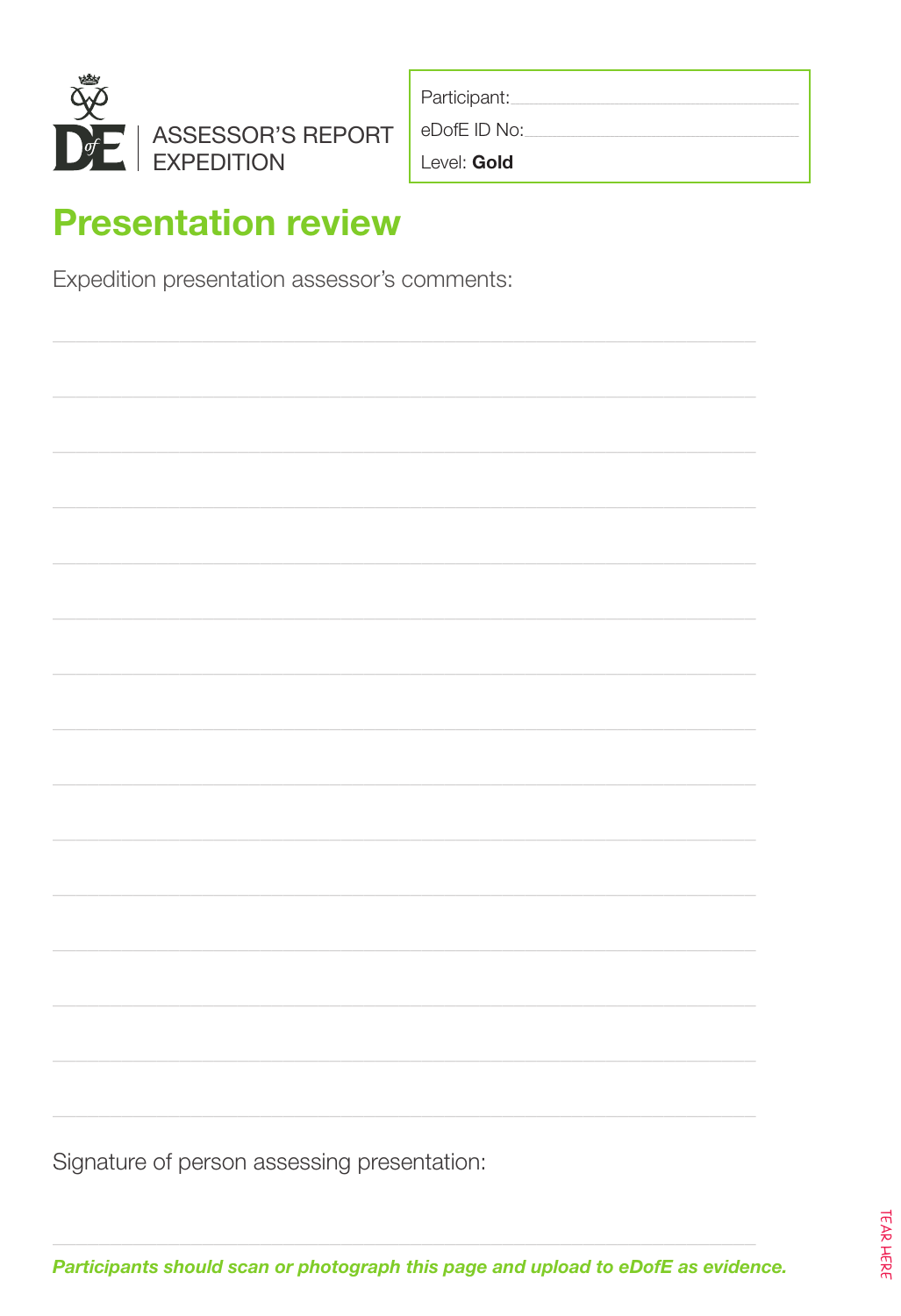

| Participant: |  |
|--------------|--|
| eDofE ID No: |  |
| Level: Gold  |  |

### **Presentation review**

Expedition presentation assessor's comments:

Signature of person assessing presentation: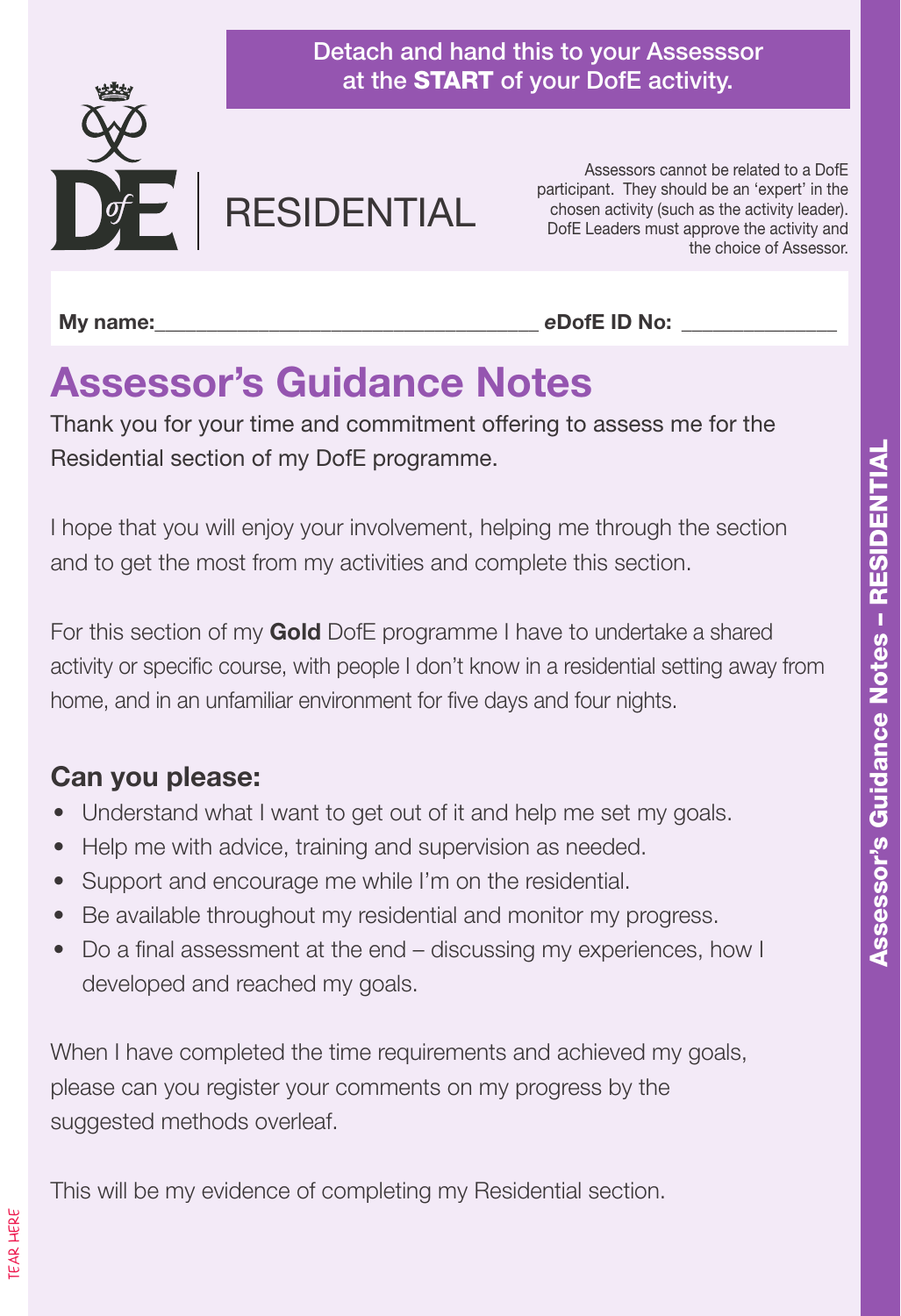

Detach and hand this to your Assesssor at the START of your DofE activity.

# **RESIDENTIAL**

Assessors cannot be related to a DofE participant. They should be an 'expert' in the chosen activity (such as the activity leader). DofE Leaders must approve the activity and the choice of Assessor.

**My name:**  $\qquad \qquad$  **eDofE ID No:**  $\qquad \qquad$ 

# **Assessor's Guidance Notes**

Thank you for your time and commitment offering to assess me for the Residential section of my DofE programme.

I hope that you will enjoy your involvement, helping me through the section and to get the most from my activities and complete this section.

For this section of my **Gold** DofE programme I have to undertake a shared activity or specific course, with people I don't know in a residential setting away from home, and in an unfamiliar environment for five days and four nights.

#### **Can you please:**

- Understand what I want to get out of it and help me set my goals.
- Help me with advice, training and supervision as needed.
- Support and encourage me while I'm on the residential.
- Be available throughout my residential and monitor my progress.
- Do a final assessment at the end discussing my experiences, how I developed and reached my goals.

When I have completed the time requirements and achieved my goals, please can you register your comments on my progress by the suggested methods overleaf.

This will be my evidence of completing my Residential section.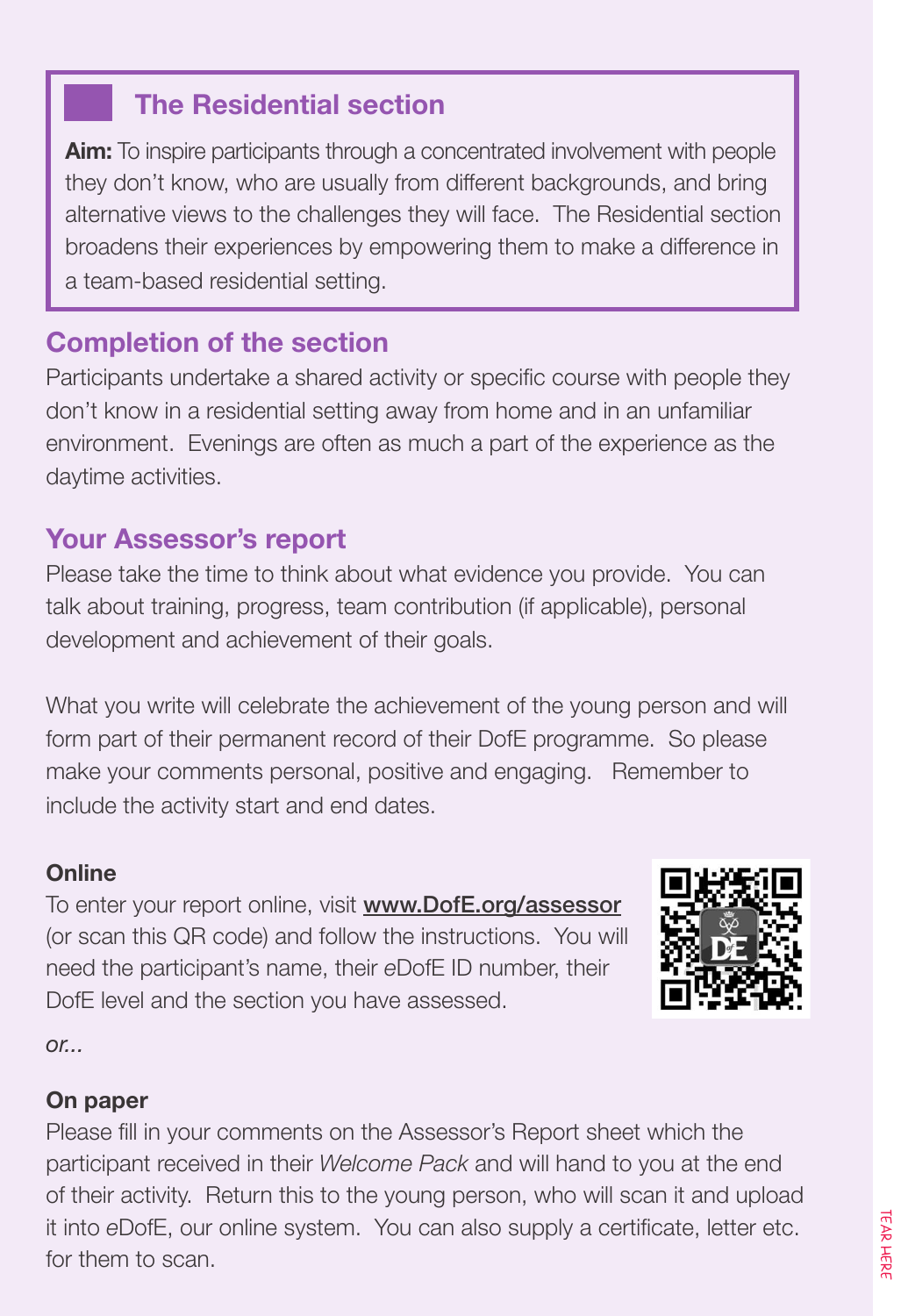#### **The Residential section**

**Aim:** To inspire participants through a concentrated involvement with people they don't know, who are usually from different backgrounds, and bring alternative views to the challenges they will face. The Residential section broadens their experiences by empowering them to make a difference in a team-based residential setting.

#### **Completion of the section**

Participants undertake a shared activity or specific course with people they don't know in a residential setting away from home and in an unfamiliar environment. Evenings are often as much a part of the experience as the daytime activities.

#### **Your Assessor's report**

Please take the time to think about what evidence you provide. You can talk about training, progress, team contribution (if applicable), personal development and achievement of their goals.

What you write will celebrate the achievement of the young person and will form part of their permanent record of their DofE programme. So please make your comments personal, positive and engaging. Remember to include the activity start and end dates.

#### **Online**

To enter your report online, visit www.DofE.org/assessor (or scan this QR code) and follow the instructions. You will need the participant's name, their *e*DofE ID number, their DofE level and the section you have assessed.



*or...*

#### **On paper**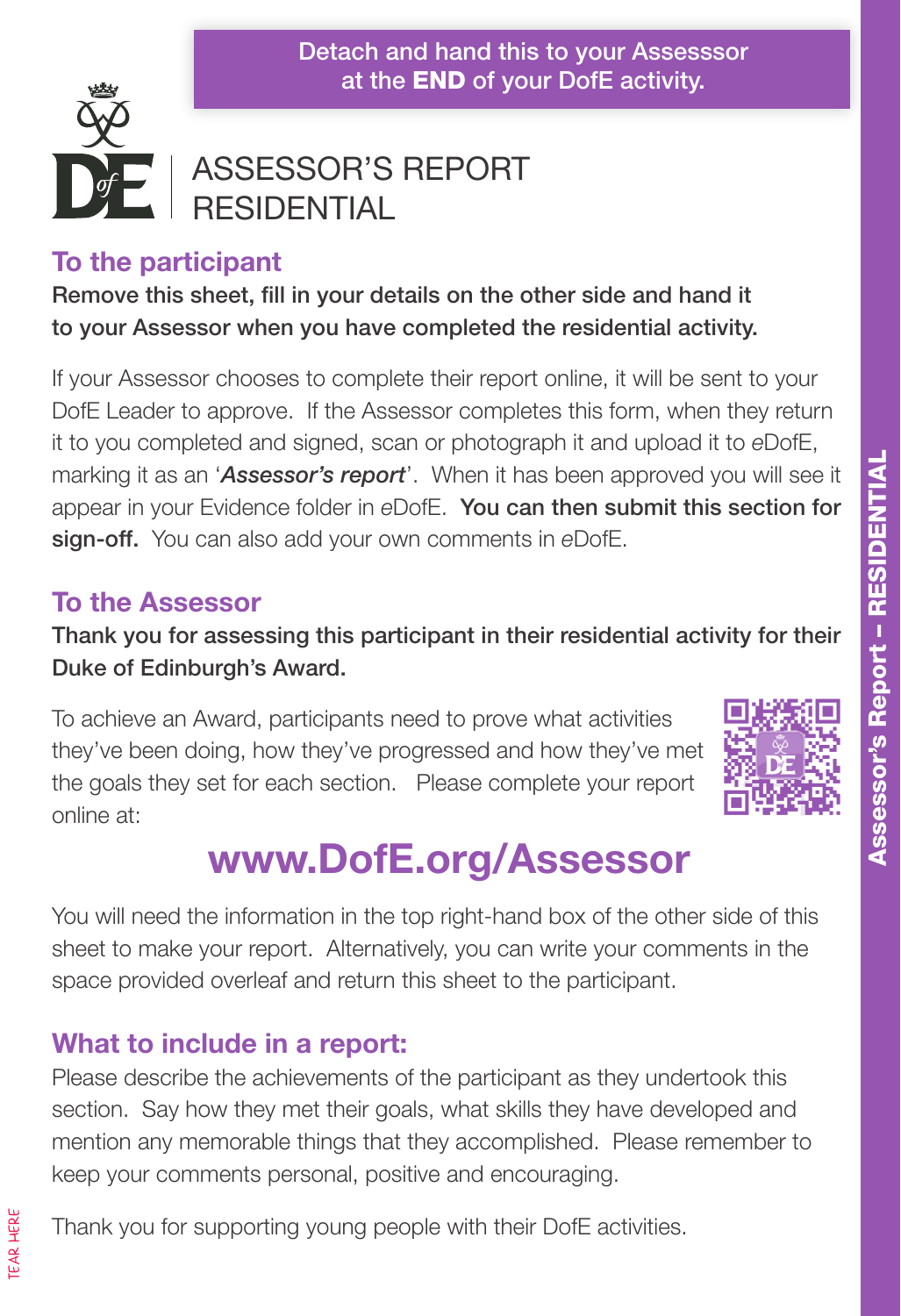Detach and hand this to your Assesssor at the **END** of your DofE activity.



#### ASSESSOR'S REPORT **RESIDENTIAL**

#### **To the participant**

Remove this sheet, fill in your details on the other side and hand it to your Assessor when you have completed the residential activity.

If your Assessor chooses to complete their report online, it will be sent to your DofE Leader to approve. If the Assessor completes this form, when they return it to you completed and signed, scan or photograph it and upload it to *e*DofE, marking it as an '*Assessor's report*'. When it has been approved you will see it appear in your Evidence folder in *e*DofE. You can then submit this section for sign-off. You can also add your own comments in *e*DofE.

#### **To the Assessor**

Thank you for assessing this participant in their residential activity for their Duke of Edinburgh's Award.

To achieve an Award, participants need to prove what activities they've been doing, how they've progressed and how they've met the goals they set for each section. Please complete your report online at:



# **www.DofE.org/Assessor**

You will need the information in the top right-hand box of the other side of this sheet to make your report. Alternatively, you can write your comments in the space provided overleaf and return this sheet to the participant.

#### **What to include in a report:**

Please describe the achievements of the participant as they undertook this section. Say how they met their goals, what skills they have developed and mention any memorable things that they accomplished. Please remember to keep your comments personal, positive and encouraging.

Thank you for supporting young people with their DofE activities.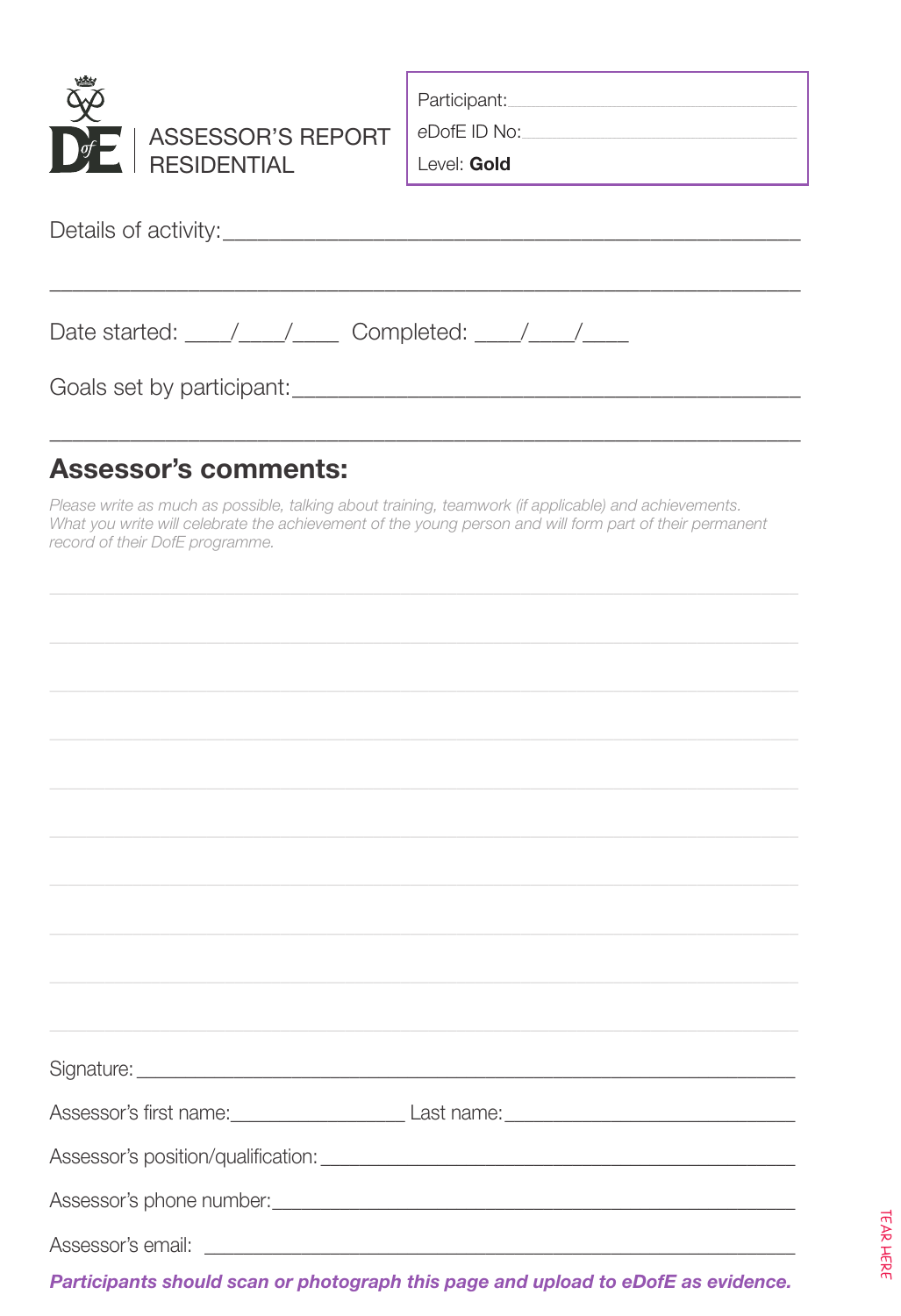

eDofE ID No:

Level: Gold

Details of activity:

| Date started: | Completed: |  |
|---------------|------------|--|
|               |            |  |
|               |            |  |

Goals set by participant: Contract Contract Contract Contract Contract Contract Contract Contract Contract Contract Contract Contract Contract Contract Contract Contract Contract Contract Contract Contract Contract Contrac

#### **Assessor's comments:**

Please write as much as possible, talking about training, teamwork (if applicable) and achievements. What you write will celebrate the achievement of the young person and will form part of their permanent record of their DofE programme.

| <u> 1989 - Andrea Santa Andrea Andrea Andrea Andrea Andrea Andrea Andrea Andrea Andrea Andrea Andrea Andrea Andr</u>  |
|-----------------------------------------------------------------------------------------------------------------------|
|                                                                                                                       |
|                                                                                                                       |
|                                                                                                                       |
|                                                                                                                       |
| ,我们的人们就会在这里,我们的人们就会在这里,我们的人们就会在这里,我们的人们就会在这里,我们的人们就会在这里,我们的人们就会在这里,我们的人们就会在这里,我们                                      |
|                                                                                                                       |
| Assessor's first name: <u>containing and a set also and a set also and a set also and a set also and a set also a</u> |
|                                                                                                                       |
|                                                                                                                       |
|                                                                                                                       |
| Projekt to contract the collection of contracts and an internal contract that the contract of the contribution of     |

Participants should scan or photograph this page and upload to eDofE as evidence.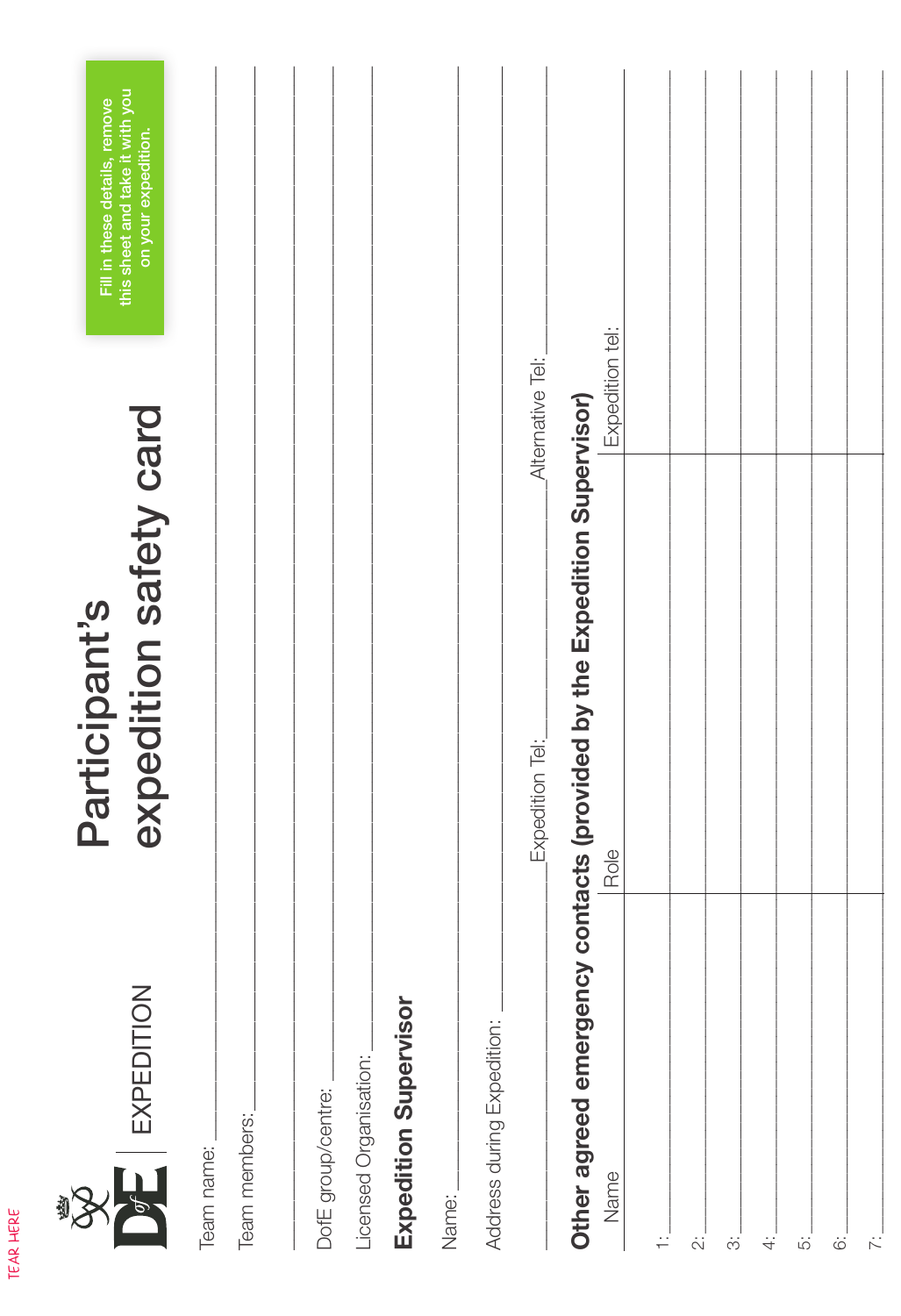| this sheet and take it with you<br>Fill in these details, remove<br>on your expedition. |                             |                    |                                                 |       | Alternative Tel:           | Expedition tel:                                                                 |   |                         |  |  |
|-----------------------------------------------------------------------------------------|-----------------------------|--------------------|-------------------------------------------------|-------|----------------------------|---------------------------------------------------------------------------------|---|-------------------------|--|--|
| expedition safety card<br>Participant's                                                 |                             |                    |                                                 |       | Expedition Tel:            | Other agreed emergency contacts (provided by the Expedition Supervisor)<br>Role |   |                         |  |  |
| $\overline{\mathrm{DE}}$ expedition                                                     | Team members:<br>Team name: | DofE group/centre: | Expedition Supervisor<br>Licensed Organisation: | Name: | Address during Expedition: | Name                                                                            | ≓ | $\ddot{\tilde{\omega}}$ |  |  |

TEAR HERE